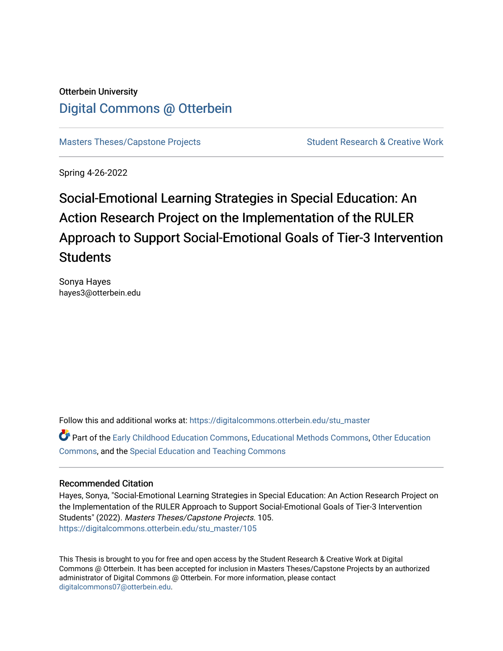# Otterbein University [Digital Commons @ Otterbein](https://digitalcommons.otterbein.edu/)

[Masters Theses/Capstone Projects](https://digitalcommons.otterbein.edu/stu_master) **Student Research & Creative Work** Student Research & Creative Work

Spring 4-26-2022

# Social-Emotional Learning Strategies in Special Education: An Action Research Project on the Implementation of the RULER Approach to Support Social-Emotional Goals of Tier-3 Intervention **Students**

Sonya Hayes hayes3@otterbein.edu

Follow this and additional works at: [https://digitalcommons.otterbein.edu/stu\\_master](https://digitalcommons.otterbein.edu/stu_master?utm_source=digitalcommons.otterbein.edu%2Fstu_master%2F105&utm_medium=PDF&utm_campaign=PDFCoverPages) 

Part of the [Early Childhood Education Commons,](https://network.bepress.com/hgg/discipline/1377?utm_source=digitalcommons.otterbein.edu%2Fstu_master%2F105&utm_medium=PDF&utm_campaign=PDFCoverPages) [Educational Methods Commons,](https://network.bepress.com/hgg/discipline/1227?utm_source=digitalcommons.otterbein.edu%2Fstu_master%2F105&utm_medium=PDF&utm_campaign=PDFCoverPages) [Other Education](https://network.bepress.com/hgg/discipline/811?utm_source=digitalcommons.otterbein.edu%2Fstu_master%2F105&utm_medium=PDF&utm_campaign=PDFCoverPages) [Commons](https://network.bepress.com/hgg/discipline/811?utm_source=digitalcommons.otterbein.edu%2Fstu_master%2F105&utm_medium=PDF&utm_campaign=PDFCoverPages), and the [Special Education and Teaching Commons](https://network.bepress.com/hgg/discipline/801?utm_source=digitalcommons.otterbein.edu%2Fstu_master%2F105&utm_medium=PDF&utm_campaign=PDFCoverPages) 

#### Recommended Citation

Hayes, Sonya, "Social-Emotional Learning Strategies in Special Education: An Action Research Project on the Implementation of the RULER Approach to Support Social-Emotional Goals of Tier-3 Intervention Students" (2022). Masters Theses/Capstone Projects. 105. [https://digitalcommons.otterbein.edu/stu\\_master/105](https://digitalcommons.otterbein.edu/stu_master/105?utm_source=digitalcommons.otterbein.edu%2Fstu_master%2F105&utm_medium=PDF&utm_campaign=PDFCoverPages) 

This Thesis is brought to you for free and open access by the Student Research & Creative Work at Digital Commons @ Otterbein. It has been accepted for inclusion in Masters Theses/Capstone Projects by an authorized administrator of Digital Commons @ Otterbein. For more information, please contact [digitalcommons07@otterbein.edu](mailto:digitalcommons07@otterbein.edu).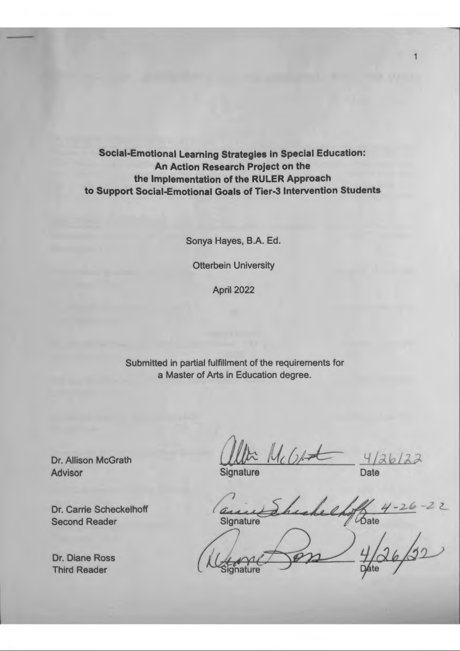**Social-Emotional Learning Strategies in Special Education: An Action Research Project on the the Implementation of the RULER Approach to Support Social-Emotional Goals of Tier-3 Intervention Students** 

Sonya Hayes, B.A. Ed.

Otterbein University

April 2022

Submitted in partial fulfillment of the requirements for a Master of Arts in Education degree.

Dr. Allison McGrath Advisor

Dr. Carrie Scheckelhoff Second Reader

Dr. Diane Ross Third Reader

 $M_{c}$  (  $\rho$  and  $\frac{4/26}{2}$ Signature

Signature

 $\frac{4}{30}$ <br> $4/26/32$ **Dáte** 

1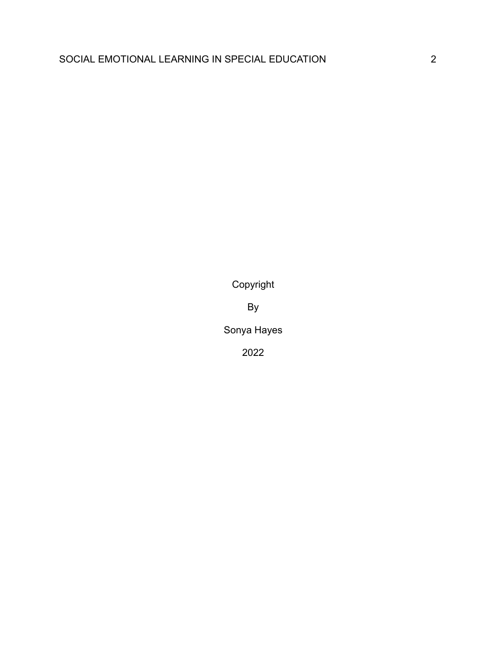Copyright

By

Sonya Hayes

2022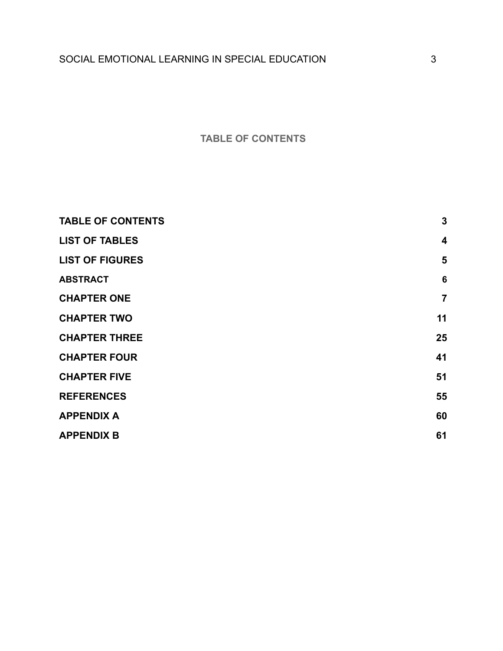# **TABLE OF CONTENTS**

<span id="page-3-0"></span>

| <b>TABLE OF CONTENTS</b> | $\mathbf{3}$            |
|--------------------------|-------------------------|
| <b>LIST OF TABLES</b>    | $\overline{\mathbf{4}}$ |
| <b>LIST OF FIGURES</b>   | 5                       |
| <b>ABSTRACT</b>          | $6\phantom{1}6$         |
| <b>CHAPTER ONE</b>       | $\overline{7}$          |
| <b>CHAPTER TWO</b>       | 11                      |
| <b>CHAPTER THREE</b>     | 25                      |
| <b>CHAPTER FOUR</b>      | 41                      |
| <b>CHAPTER FIVE</b>      | 51                      |
| <b>REFERENCES</b>        | 55                      |
| <b>APPENDIX A</b>        | 60                      |
| <b>APPENDIX B</b>        | 61                      |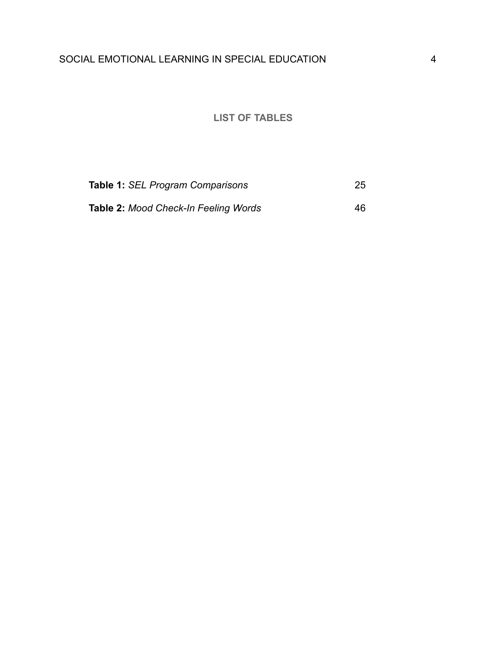# **LIST OF TABLES**

<span id="page-4-0"></span>

| Table 1: SEL Program Comparisons            | -25 |
|---------------------------------------------|-----|
| <b>Table 2: Mood Check-In Feeling Words</b> | 46  |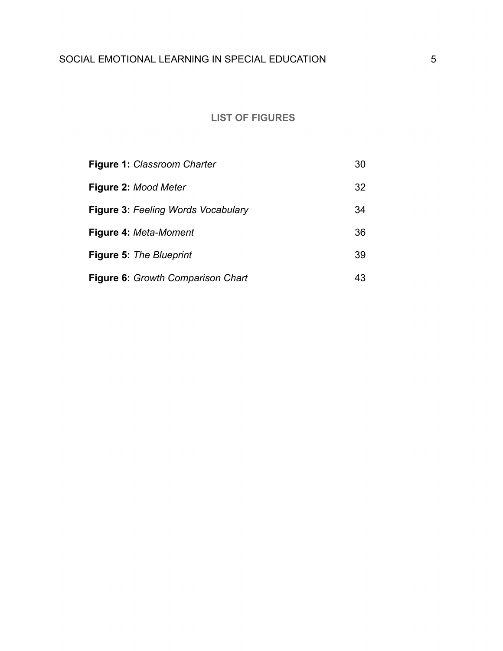# **LIST OF FIGURES**

<span id="page-5-0"></span>

| <b>Figure 1: Classroom Charter</b>        | 30 |
|-------------------------------------------|----|
| Figure 2: Mood Meter                      | 32 |
| <b>Figure 3: Feeling Words Vocabulary</b> | 34 |
| Figure 4: Meta-Moment                     | 36 |
| <b>Figure 5: The Blueprint</b>            | 39 |
| Figure 6: Growth Comparison Chart         | 43 |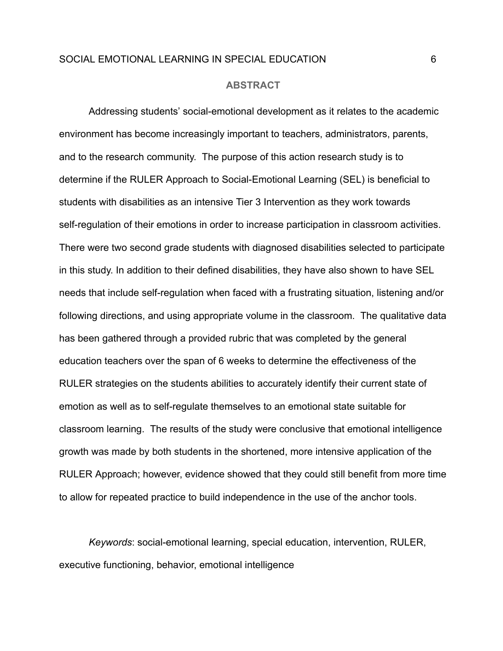#### **ABSTRACT**

<span id="page-6-0"></span>Addressing students' social-emotional development as it relates to the academic environment has become increasingly important to teachers, administrators, parents, and to the research community. The purpose of this action research study is to determine if the RULER Approach to Social-Emotional Learning (SEL) is beneficial to students with disabilities as an intensive Tier 3 Intervention as they work towards self-regulation of their emotions in order to increase participation in classroom activities. There were two second grade students with diagnosed disabilities selected to participate in this study. In addition to their defined disabilities, they have also shown to have SEL needs that include self-regulation when faced with a frustrating situation, listening and/or following directions, and using appropriate volume in the classroom. The qualitative data has been gathered through a provided rubric that was completed by the general education teachers over the span of 6 weeks to determine the effectiveness of the RULER strategies on the students abilities to accurately identify their current state of emotion as well as to self-regulate themselves to an emotional state suitable for classroom learning. The results of the study were conclusive that emotional intelligence growth was made by both students in the shortened, more intensive application of the RULER Approach; however, evidence showed that they could still benefit from more time to allow for repeated practice to build independence in the use of the anchor tools.

*Keywords*: social-emotional learning, special education, intervention, RULER, executive functioning, behavior, emotional intelligence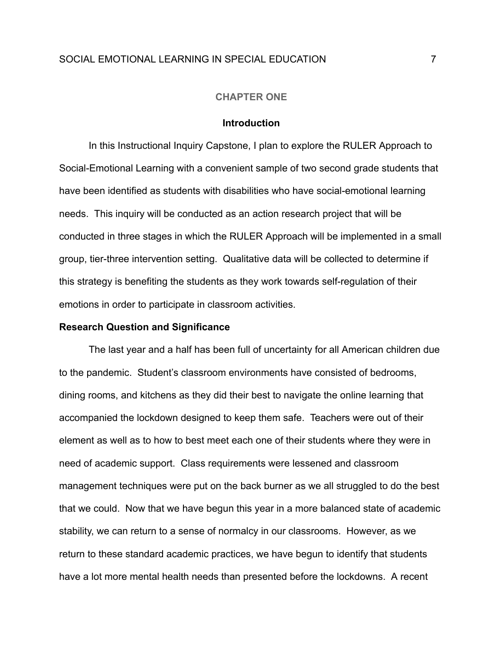#### **CHAPTER ONE**

#### **Introduction**

<span id="page-7-0"></span>In this Instructional Inquiry Capstone, I plan to explore the RULER Approach to Social-Emotional Learning with a convenient sample of two second grade students that have been identified as students with disabilities who have social-emotional learning needs. This inquiry will be conducted as an action research project that will be conducted in three stages in which the RULER Approach will be implemented in a small group, tier-three intervention setting. Qualitative data will be collected to determine if this strategy is benefiting the students as they work towards self-regulation of their emotions in order to participate in classroom activities.

#### **Research Question and Significance**

The last year and a half has been full of uncertainty for all American children due to the pandemic. Student's classroom environments have consisted of bedrooms, dining rooms, and kitchens as they did their best to navigate the online learning that accompanied the lockdown designed to keep them safe. Teachers were out of their element as well as to how to best meet each one of their students where they were in need of academic support. Class requirements were lessened and classroom management techniques were put on the back burner as we all struggled to do the best that we could. Now that we have begun this year in a more balanced state of academic stability, we can return to a sense of normalcy in our classrooms. However, as we return to these standard academic practices, we have begun to identify that students have a lot more mental health needs than presented before the lockdowns. A recent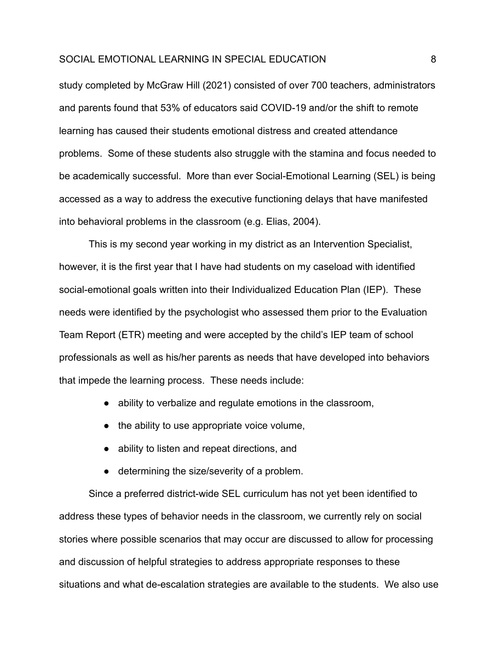study completed by McGraw Hill (2021) consisted of over 700 teachers, administrators and parents found that 53% of educators said COVID-19 and/or the shift to remote learning has caused their students emotional distress and created attendance problems. Some of these students also struggle with the stamina and focus needed to be academically successful. More than ever Social-Emotional Learning (SEL) is being accessed as a way to address the executive functioning delays that have manifested into behavioral problems in the classroom (e.g. Elias, 2004).

This is my second year working in my district as an Intervention Specialist, however, it is the first year that I have had students on my caseload with identified social-emotional goals written into their Individualized Education Plan (IEP). These needs were identified by the psychologist who assessed them prior to the Evaluation Team Report (ETR) meeting and were accepted by the child's IEP team of school professionals as well as his/her parents as needs that have developed into behaviors that impede the learning process. These needs include:

- ability to verbalize and regulate emotions in the classroom,
- the ability to use appropriate voice volume,
- ability to listen and repeat directions, and
- determining the size/severity of a problem.

Since a preferred district-wide SEL curriculum has not yet been identified to address these types of behavior needs in the classroom, we currently rely on social stories where possible scenarios that may occur are discussed to allow for processing and discussion of helpful strategies to address appropriate responses to these situations and what de-escalation strategies are available to the students. We also use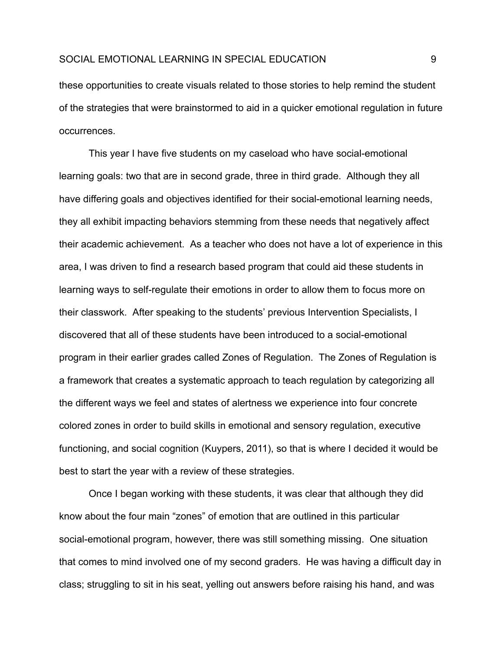these opportunities to create visuals related to those stories to help remind the student of the strategies that were brainstormed to aid in a quicker emotional regulation in future occurrences.

This year I have five students on my caseload who have social-emotional learning goals: two that are in second grade, three in third grade. Although they all have differing goals and objectives identified for their social-emotional learning needs, they all exhibit impacting behaviors stemming from these needs that negatively affect their academic achievement. As a teacher who does not have a lot of experience in this area, I was driven to find a research based program that could aid these students in learning ways to self-regulate their emotions in order to allow them to focus more on their classwork. After speaking to the students' previous Intervention Specialists, I discovered that all of these students have been introduced to a social-emotional program in their earlier grades called Zones of Regulation. The Zones of Regulation is a framework that creates a systematic approach to teach regulation by categorizing all the different ways we feel and states of alertness we experience into four concrete colored zones in order to build skills in emotional and sensory regulation, executive functioning, and social cognition (Kuypers, 2011), so that is where I decided it would be best to start the year with a review of these strategies.

Once I began working with these students, it was clear that although they did know about the four main "zones" of emotion that are outlined in this particular social-emotional program, however, there was still something missing. One situation that comes to mind involved one of my second graders. He was having a difficult day in class; struggling to sit in his seat, yelling out answers before raising his hand, and was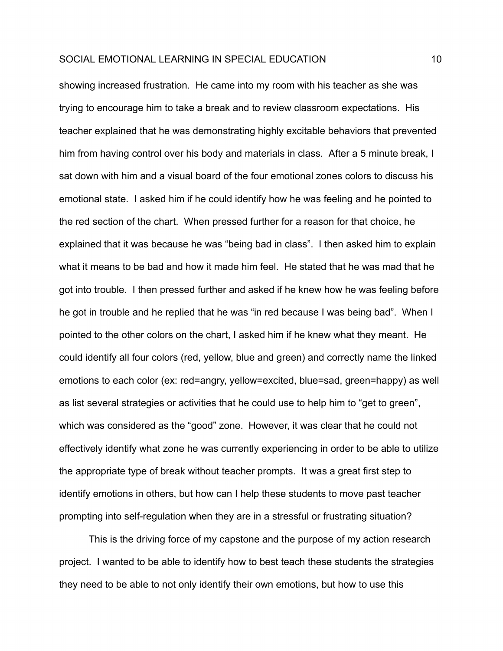showing increased frustration. He came into my room with his teacher as she was trying to encourage him to take a break and to review classroom expectations. His teacher explained that he was demonstrating highly excitable behaviors that prevented him from having control over his body and materials in class. After a 5 minute break, I sat down with him and a visual board of the four emotional zones colors to discuss his emotional state. I asked him if he could identify how he was feeling and he pointed to the red section of the chart. When pressed further for a reason for that choice, he explained that it was because he was "being bad in class". I then asked him to explain what it means to be bad and how it made him feel. He stated that he was mad that he got into trouble. I then pressed further and asked if he knew how he was feeling before he got in trouble and he replied that he was "in red because I was being bad". When I pointed to the other colors on the chart, I asked him if he knew what they meant. He could identify all four colors (red, yellow, blue and green) and correctly name the linked emotions to each color (ex: red=angry, yellow=excited, blue=sad, green=happy) as well as list several strategies or activities that he could use to help him to "get to green", which was considered as the "good" zone. However, it was clear that he could not effectively identify what zone he was currently experiencing in order to be able to utilize the appropriate type of break without teacher prompts. It was a great first step to identify emotions in others, but how can I help these students to move past teacher prompting into self-regulation when they are in a stressful or frustrating situation?

This is the driving force of my capstone and the purpose of my action research project. I wanted to be able to identify how to best teach these students the strategies they need to be able to not only identify their own emotions, but how to use this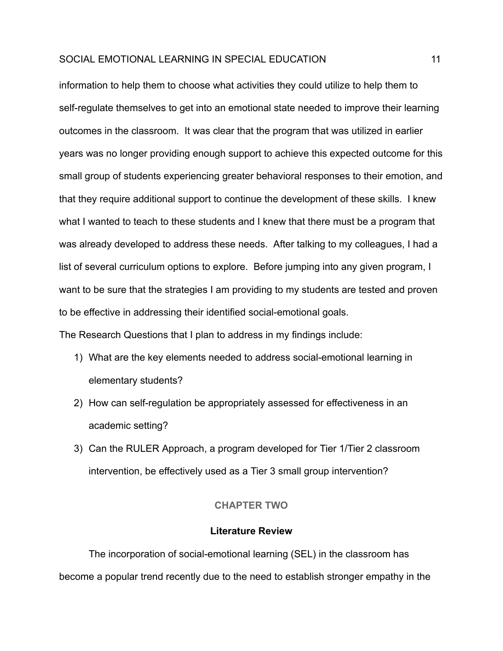information to help them to choose what activities they could utilize to help them to self-regulate themselves to get into an emotional state needed to improve their learning outcomes in the classroom. It was clear that the program that was utilized in earlier years was no longer providing enough support to achieve this expected outcome for this small group of students experiencing greater behavioral responses to their emotion, and that they require additional support to continue the development of these skills. I knew what I wanted to teach to these students and I knew that there must be a program that was already developed to address these needs. After talking to my colleagues, I had a list of several curriculum options to explore. Before jumping into any given program, I want to be sure that the strategies I am providing to my students are tested and proven to be effective in addressing their identified social-emotional goals.

The Research Questions that I plan to address in my findings include:

- 1) What are the key elements needed to address social-emotional learning in elementary students?
- 2) How can self-regulation be appropriately assessed for effectiveness in an academic setting?
- <span id="page-11-0"></span>3) Can the RULER Approach, a program developed for Tier 1/Tier 2 classroom intervention, be effectively used as a Tier 3 small group intervention?

#### **CHAPTER TWO**

#### **Literature Review**

The incorporation of social-emotional learning (SEL) in the classroom has become a popular trend recently due to the need to establish stronger empathy in the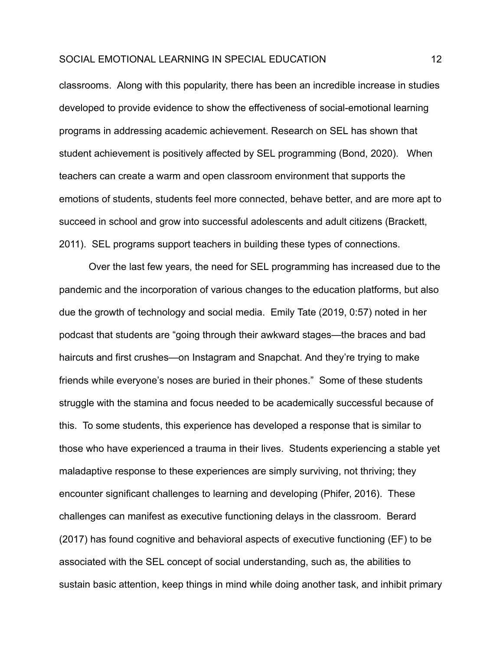classrooms. Along with this popularity, there has been an incredible increase in studies developed to provide evidence to show the effectiveness of social-emotional learning programs in addressing academic achievement. Research on SEL has shown that student achievement is positively affected by SEL programming (Bond, 2020). When teachers can create a warm and open classroom environment that supports the emotions of students, students feel more connected, behave better, and are more apt to succeed in school and grow into successful adolescents and adult citizens (Brackett, 2011). SEL programs support teachers in building these types of connections.

Over the last few years, the need for SEL programming has increased due to the pandemic and the incorporation of various changes to the education platforms, but also due the growth of technology and social media. Emily Tate (2019, 0:57) noted in her podcast that students are "going through their awkward stages—the braces and bad haircuts and first crushes—on Instagram and Snapchat. And they're trying to make friends while everyone's noses are buried in their phones." Some of these students struggle with the stamina and focus needed to be academically successful because of this. To some students, this experience has developed a response that is similar to those who have experienced a trauma in their lives. Students experiencing a stable yet maladaptive response to these experiences are simply surviving, not thriving; they encounter significant challenges to learning and developing (Phifer, 2016). These challenges can manifest as executive functioning delays in the classroom. Berard (2017) has found cognitive and behavioral aspects of executive functioning (EF) to be associated with the SEL concept of social understanding, such as, the abilities to sustain basic attention, keep things in mind while doing another task, and inhibit primary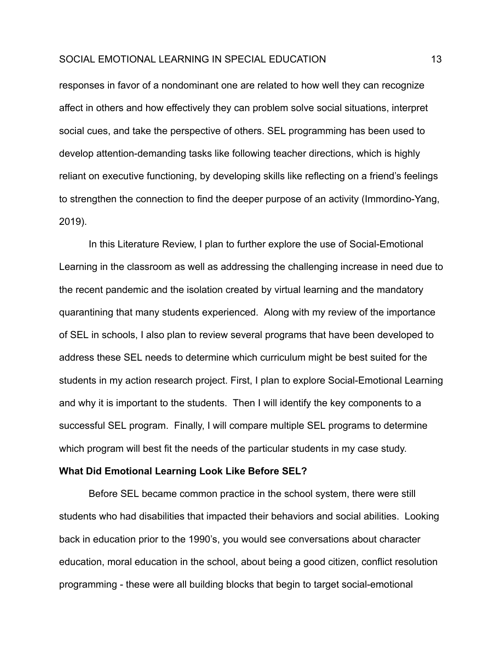responses in favor of a nondominant one are related to how well they can recognize affect in others and how effectively they can problem solve social situations, interpret social cues, and take the perspective of others. SEL programming has been used to develop attention-demanding tasks like following teacher directions, which is highly reliant on executive functioning, by developing skills like reflecting on a friend's feelings to strengthen the connection to find the deeper purpose of an activity (Immordino-Yang, 2019).

In this Literature Review, I plan to further explore the use of Social-Emotional Learning in the classroom as well as addressing the challenging increase in need due to the recent pandemic and the isolation created by virtual learning and the mandatory quarantining that many students experienced. Along with my review of the importance of SEL in schools, I also plan to review several programs that have been developed to address these SEL needs to determine which curriculum might be best suited for the students in my action research project. First, I plan to explore Social-Emotional Learning and why it is important to the students. Then I will identify the key components to a successful SEL program. Finally, I will compare multiple SEL programs to determine which program will best fit the needs of the particular students in my case study.

## **What Did Emotional Learning Look Like Before SEL?**

Before SEL became common practice in the school system, there were still students who had disabilities that impacted their behaviors and social abilities. Looking back in education prior to the 1990's, you would see conversations about character education, moral education in the school, about being a good citizen, conflict resolution programming - these were all building blocks that begin to target social-emotional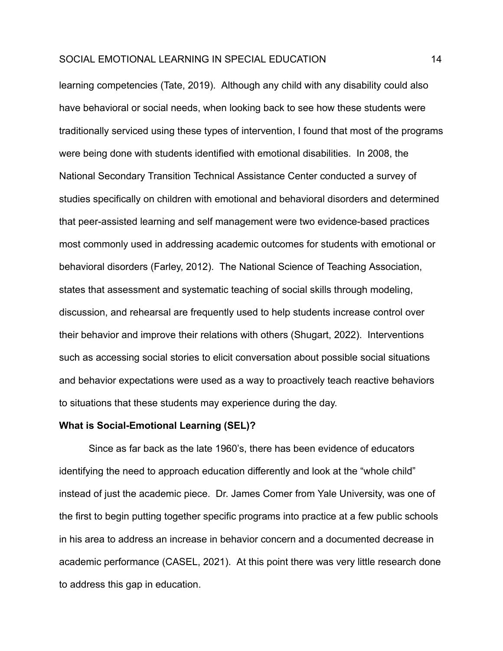learning competencies (Tate, 2019). Although any child with any disability could also have behavioral or social needs, when looking back to see how these students were traditionally serviced using these types of intervention, I found that most of the programs were being done with students identified with emotional disabilities. In 2008, the National Secondary Transition Technical Assistance Center conducted a survey of studies specifically on children with emotional and behavioral disorders and determined that peer-assisted learning and self management were two evidence-based practices most commonly used in addressing academic outcomes for students with emotional or behavioral disorders (Farley, 2012). The National Science of Teaching Association, states that assessment and systematic teaching of social skills through modeling, discussion, and rehearsal are frequently used to help students increase control over their behavior and improve their relations with others (Shugart, 2022). Interventions such as accessing social stories to elicit conversation about possible social situations and behavior expectations were used as a way to proactively teach reactive behaviors to situations that these students may experience during the day.

#### **What is Social-Emotional Learning (SEL)?**

Since as far back as the late 1960's, there has been evidence of educators identifying the need to approach education differently and look at the "whole child" instead of just the academic piece. Dr. James Comer from Yale University, was one of the first to begin putting together specific programs into practice at a few public schools in his area to address an increase in behavior concern and a documented decrease in academic performance (CASEL, 2021). At this point there was very little research done to address this gap in education.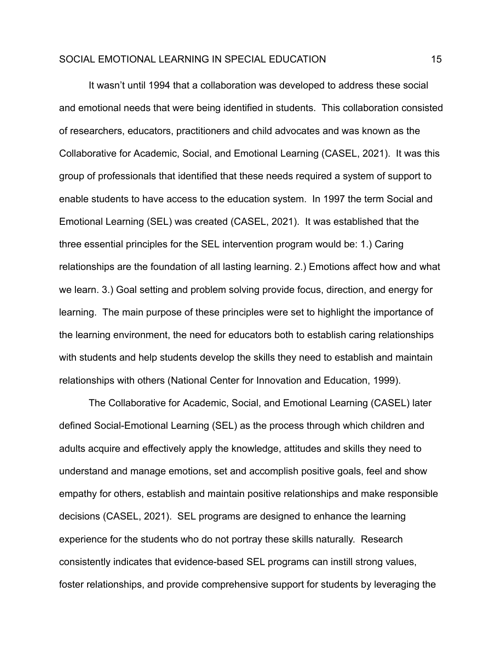It wasn't until 1994 that a collaboration was developed to address these social and emotional needs that were being identified in students. This collaboration consisted of researchers, educators, practitioners and child advocates and was known as the Collaborative for Academic, Social, and Emotional Learning (CASEL, 2021). It was this group of professionals that identified that these needs required a system of support to enable students to have access to the education system. In 1997 the term Social and Emotional Learning (SEL) was created (CASEL, 2021). It was established that the three essential principles for the SEL intervention program would be: 1.) Caring relationships are the foundation of all lasting learning. 2.) Emotions affect how and what we learn. 3.) Goal setting and problem solving provide focus, direction, and energy for learning. The main purpose of these principles were set to highlight the importance of the learning environment, the need for educators both to establish caring relationships with students and help students develop the skills they need to establish and maintain relationships with others (National Center for Innovation and Education, 1999).

The Collaborative for Academic, Social, and Emotional Learning (CASEL) later defined Social-Emotional Learning (SEL) as the process through which children and adults acquire and effectively apply the knowledge, attitudes and skills they need to understand and manage emotions, set and accomplish positive goals, feel and show empathy for others, establish and maintain positive relationships and make responsible decisions (CASEL, 2021). SEL programs are designed to enhance the learning experience for the students who do not portray these skills naturally. Research consistently indicates that evidence-based SEL programs can instill strong values, foster relationships, and provide comprehensive support for students by leveraging the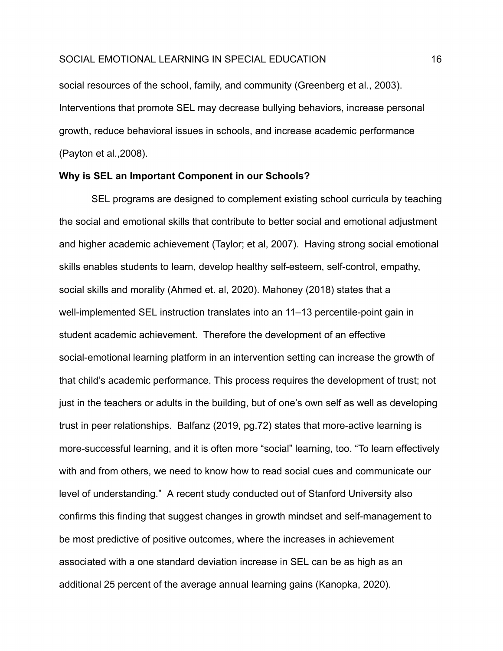social resources of the school, family, and community (Greenberg et al., 2003). Interventions that promote SEL may decrease bullying behaviors, increase personal growth, reduce behavioral issues in schools, and increase academic performance (Payton et al.,2008).

# **Why is SEL an Important Component in our Schools?**

SEL programs are designed to complement existing school curricula by teaching the social and emotional skills that contribute to better social and emotional adjustment and higher academic achievement (Taylor; et al, 2007). Having strong social emotional skills enables students to learn, develop healthy self-esteem, self-control, empathy, social skills and morality (Ahmed et. al, 2020). Mahoney (2018) states that a well-implemented SEL instruction translates into an 11–13 percentile-point gain in student academic achievement. Therefore the development of an effective social-emotional learning platform in an intervention setting can increase the growth of that child's academic performance. This process requires the development of trust; not just in the teachers or adults in the building, but of one's own self as well as developing trust in peer relationships. Balfanz (2019, pg.72) states that more-active learning is more-successful learning, and it is often more "social" learning, too. "To learn effectively with and from others, we need to know how to read social cues and communicate our level of understanding." A recent study conducted out of Stanford University also confirms this finding that suggest changes in growth mindset and self-management to be most predictive of positive outcomes, where the increases in achievement associated with a one standard deviation increase in SEL can be as high as an additional 25 percent of the average annual learning gains (Kanopka, 2020).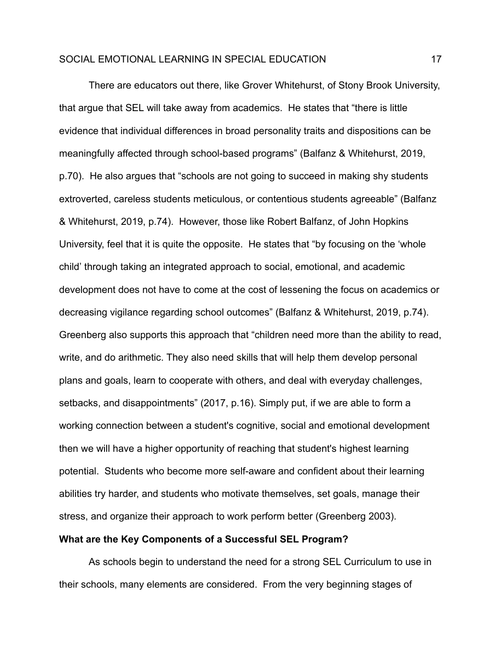There are educators out there, like Grover Whitehurst, of Stony Brook University, that argue that SEL will take away from academics. He states that "there is little evidence that individual differences in broad personality traits and dispositions can be meaningfully affected through school-based programs" (Balfanz & Whitehurst, 2019, p.70). He also argues that "schools are not going to succeed in making shy students extroverted, careless students meticulous, or contentious students agreeable" (Balfanz & Whitehurst, 2019, p.74). However, those like Robert Balfanz, of John Hopkins University, feel that it is quite the opposite. He states that "by focusing on the 'whole child' through taking an integrated approach to social, emotional, and academic development does not have to come at the cost of lessening the focus on academics or decreasing vigilance regarding school outcomes" (Balfanz & Whitehurst, 2019, p.74). Greenberg also supports this approach that "children need more than the ability to read, write, and do arithmetic. They also need skills that will help them develop personal plans and goals, learn to cooperate with others, and deal with everyday challenges, setbacks, and disappointments" (2017, p.16). Simply put, if we are able to form a working connection between a student's cognitive, social and emotional development then we will have a higher opportunity of reaching that student's highest learning potential. Students who become more self-aware and confident about their learning abilities try harder, and students who motivate themselves, set goals, manage their stress, and organize their approach to work perform better (Greenberg 2003).

# **What are the Key Components of a Successful SEL Program?**

As schools begin to understand the need for a strong SEL Curriculum to use in their schools, many elements are considered. From the very beginning stages of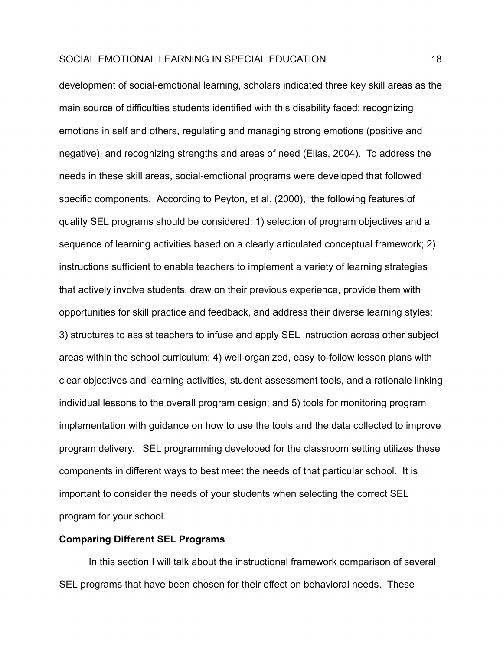development of social-emotional learning, scholars indicated three key skill areas as the main source of difficulties students identified with this disability faced: recognizing emotions in self and others, regulating and managing strong emotions (positive and negative), and recognizing strengths and areas of need (Elias, 2004). To address the needs in these skill areas, social-emotional programs were developed that followed specific components. According to Peyton, et al. (2000), the following features of quality SEL programs should be considered: 1) selection of program objectives and a sequence of learning activities based on a clearly articulated conceptual framework; 2) instructions sufficient to enable teachers to implement a variety of learning strategies that actively involve students, draw on their previous experience, provide them with opportunities for skill practice and feedback, and address their diverse learning styles; 3) structures to assist teachers to infuse and apply SEL instruction across other subject areas within the school curriculum; 4) well-organized, easy-to-follow lesson plans with clear objectives and learning activities, student assessment tools, and a rationale linking individual lessons to the overall program design; and 5) tools for monitoring program implementation with guidance on how to use the tools and the data collected to improve program delivery. SEL programming developed for the classroom setting utilizes these components in different ways to best meet the needs of that particular school. It is important to consider the needs of your students when selecting the correct SEL program for your school.

# **Comparing Different SEL Programs**

In this section I will talk about the instructional framework comparison of several SEL programs that have been chosen for their effect on behavioral needs. These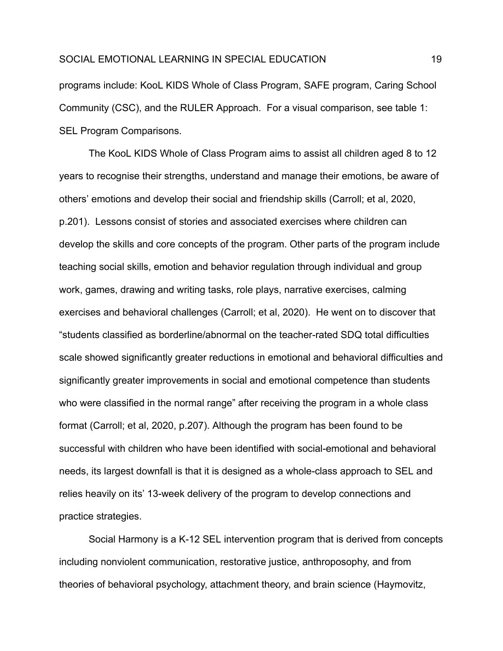programs include: KooL KIDS Whole of Class Program, SAFE program, Caring School Community (CSC), and the RULER Approach. For a visual comparison, see table 1: SEL Program Comparisons.

The KooL KIDS Whole of Class Program aims to assist all children aged 8 to 12 years to recognise their strengths, understand and manage their emotions, be aware of others' emotions and develop their social and friendship skills (Carroll; et al, 2020, p.201). Lessons consist of stories and associated exercises where children can develop the skills and core concepts of the program. Other parts of the program include teaching social skills, emotion and behavior regulation through individual and group work, games, drawing and writing tasks, role plays, narrative exercises, calming exercises and behavioral challenges (Carroll; et al, 2020). He went on to discover that "students classified as borderline/abnormal on the teacher-rated SDQ total difficulties scale showed significantly greater reductions in emotional and behavioral difficulties and significantly greater improvements in social and emotional competence than students who were classified in the normal range" after receiving the program in a whole class format (Carroll; et al, 2020, p.207). Although the program has been found to be successful with children who have been identified with social-emotional and behavioral needs, its largest downfall is that it is designed as a whole-class approach to SEL and relies heavily on its' 13-week delivery of the program to develop connections and practice strategies.

Social Harmony is a K-12 SEL intervention program that is derived from concepts including nonviolent communication, restorative justice, anthroposophy, and from theories of behavioral psychology, attachment theory, and brain science (Haymovitz,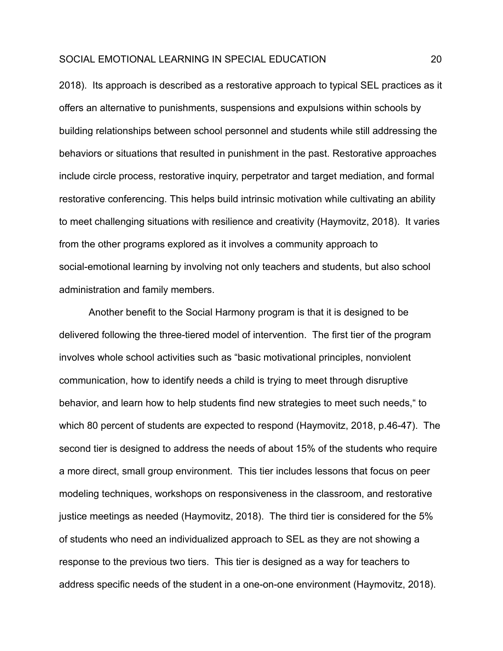2018). Its approach is described as a restorative approach to typical SEL practices as it offers an alternative to punishments, suspensions and expulsions within schools by building relationships between school personnel and students while still addressing the behaviors or situations that resulted in punishment in the past. Restorative approaches include circle process, restorative inquiry, perpetrator and target mediation, and formal restorative conferencing. This helps build intrinsic motivation while cultivating an ability to meet challenging situations with resilience and creativity (Haymovitz, 2018). It varies from the other programs explored as it involves a community approach to social-emotional learning by involving not only teachers and students, but also school administration and family members.

Another benefit to the Social Harmony program is that it is designed to be delivered following the three-tiered model of intervention. The first tier of the program involves whole school activities such as "basic motivational principles, nonviolent communication, how to identify needs a child is trying to meet through disruptive behavior, and learn how to help students find new strategies to meet such needs," to which 80 percent of students are expected to respond (Haymovitz, 2018, p.46-47). The second tier is designed to address the needs of about 15% of the students who require a more direct, small group environment. This tier includes lessons that focus on peer modeling techniques, workshops on responsiveness in the classroom, and restorative justice meetings as needed (Haymovitz, 2018). The third tier is considered for the 5% of students who need an individualized approach to SEL as they are not showing a response to the previous two tiers. This tier is designed as a way for teachers to address specific needs of the student in a one-on-one environment (Haymovitz, 2018).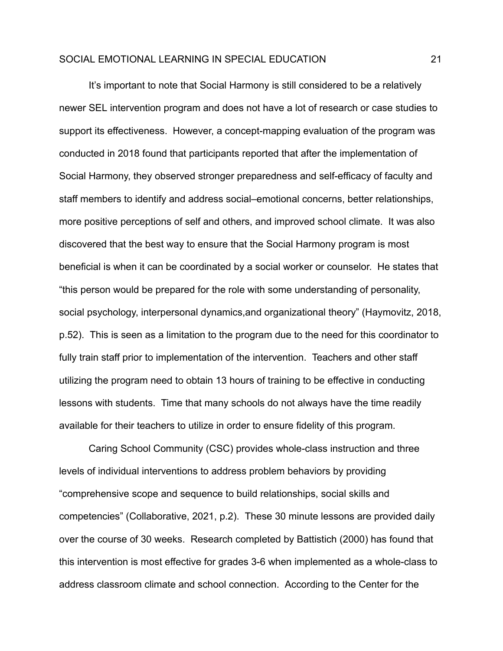It's important to note that Social Harmony is still considered to be a relatively newer SEL intervention program and does not have a lot of research or case studies to support its effectiveness. However, a concept-mapping evaluation of the program was conducted in 2018 found that participants reported that after the implementation of Social Harmony, they observed stronger preparedness and self-efficacy of faculty and staff members to identify and address social–emotional concerns, better relationships, more positive perceptions of self and others, and improved school climate. It was also discovered that the best way to ensure that the Social Harmony program is most beneficial is when it can be coordinated by a social worker or counselor. He states that "this person would be prepared for the role with some understanding of personality, social psychology, interpersonal dynamics,and organizational theory" (Haymovitz, 2018, p.52). This is seen as a limitation to the program due to the need for this coordinator to fully train staff prior to implementation of the intervention. Teachers and other staff utilizing the program need to obtain 13 hours of training to be effective in conducting lessons with students. Time that many schools do not always have the time readily available for their teachers to utilize in order to ensure fidelity of this program.

Caring School Community (CSC) provides whole-class instruction and three levels of individual interventions to address problem behaviors by providing "comprehensive scope and sequence to build relationships, social skills and competencies" (Collaborative, 2021, p.2). These 30 minute lessons are provided daily over the course of 30 weeks. Research completed by Battistich (2000) has found that this intervention is most effective for grades 3-6 when implemented as a whole-class to address classroom climate and school connection. According to the Center for the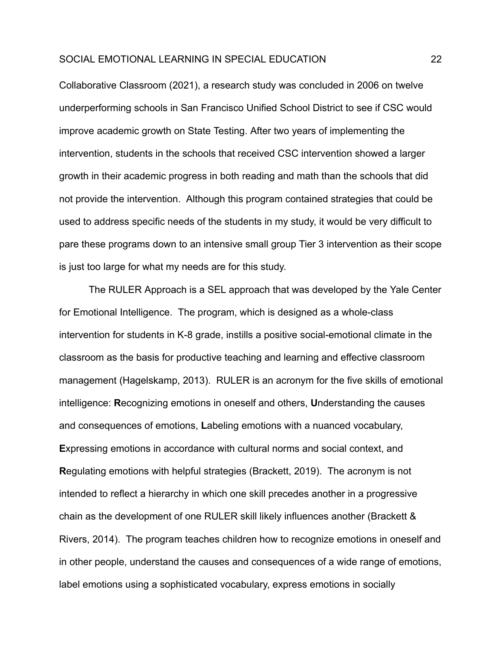Collaborative Classroom (2021), a research study was concluded in 2006 on twelve underperforming schools in San Francisco Unified School District to see if CSC would improve academic growth on State Testing. After two years of implementing the intervention, students in the schools that received CSC intervention showed a larger growth in their academic progress in both reading and math than the schools that did not provide the intervention. Although this program contained strategies that could be used to address specific needs of the students in my study, it would be very difficult to pare these programs down to an intensive small group Tier 3 intervention as their scope is just too large for what my needs are for this study.

The RULER Approach is a SEL approach that was developed by the Yale Center for Emotional Intelligence. The program, which is designed as a whole-class intervention for students in K-8 grade, instills a positive social-emotional climate in the classroom as the basis for productive teaching and learning and effective classroom management (Hagelskamp, 2013). RULER is an acronym for the five skills of emotional intelligence: **R**ecognizing emotions in oneself and others, **U**nderstanding the causes and consequences of emotions, **L**abeling emotions with a nuanced vocabulary, **E**xpressing emotions in accordance with cultural norms and social context, and **R**egulating emotions with helpful strategies (Brackett, 2019). The acronym is not intended to reflect a hierarchy in which one skill precedes another in a progressive chain as the development of one RULER skill likely influences another (Brackett & Rivers, 2014). The program teaches children how to recognize emotions in oneself and in other people, understand the causes and consequences of a wide range of emotions, label emotions using a sophisticated vocabulary, express emotions in socially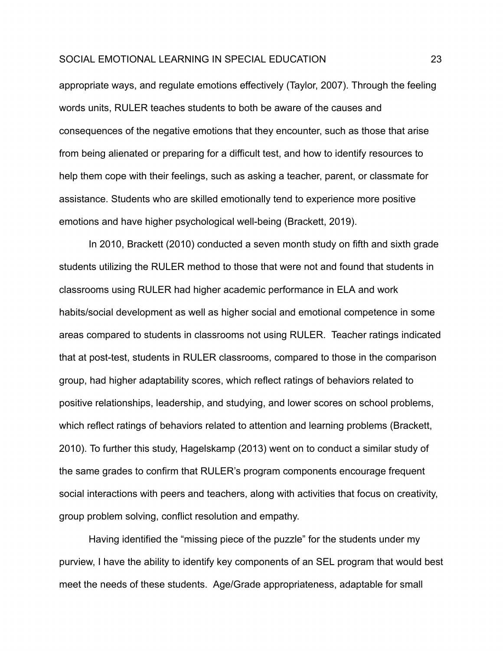appropriate ways, and regulate emotions effectively (Taylor, 2007). Through the feeling words units, RULER teaches students to both be aware of the causes and consequences of the negative emotions that they encounter, such as those that arise from being alienated or preparing for a difficult test, and how to identify resources to help them cope with their feelings, such as asking a teacher, parent, or classmate for assistance. Students who are skilled emotionally tend to experience more positive emotions and have higher psychological well-being (Brackett, 2019).

In 2010, Brackett (2010) conducted a seven month study on fifth and sixth grade students utilizing the RULER method to those that were not and found that students in classrooms using RULER had higher academic performance in ELA and work habits/social development as well as higher social and emotional competence in some areas compared to students in classrooms not using RULER. Teacher ratings indicated that at post-test, students in RULER classrooms, compared to those in the comparison group, had higher adaptability scores, which reflect ratings of behaviors related to positive relationships, leadership, and studying, and lower scores on school problems, which reflect ratings of behaviors related to attention and learning problems (Brackett, 2010). To further this study, Hagelskamp (2013) went on to conduct a similar study of the same grades to confirm that RULER's program components encourage frequent social interactions with peers and teachers, along with activities that focus on creativity, group problem solving, conflict resolution and empathy.

Having identified the "missing piece of the puzzle" for the students under my purview, I have the ability to identify key components of an SEL program that would best meet the needs of these students. Age/Grade appropriateness, adaptable for small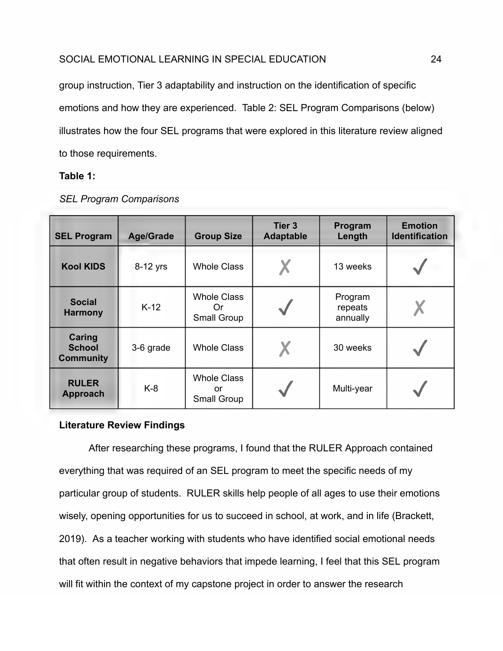group instruction, Tier 3 adaptability and instruction on the identification of specific emotions and how they are experienced. Table 2: SEL Program Comparisons (below) illustrates how the four SEL programs that were explored in this literature review aligned to those requirements.

# **Table 1:**

| <b>SEL Program</b>                          | <b>Age/Grade</b> | <b>Group Size</b>                              | <b>Tier 3</b><br><b>Adaptable</b> | Program<br>Length              | <b>Emotion</b><br><b>Identification</b> |
|---------------------------------------------|------------------|------------------------------------------------|-----------------------------------|--------------------------------|-----------------------------------------|
| <b>Kool KIDS</b>                            | 8-12 yrs         | <b>Whole Class</b>                             |                                   | 13 weeks                       |                                         |
| <b>Social</b><br><b>Harmony</b>             | $K-12$           | <b>Whole Class</b><br>Or<br><b>Small Group</b> |                                   | Program<br>repeats<br>annually | X                                       |
| Caring<br><b>School</b><br><b>Community</b> | 3-6 grade        | <b>Whole Class</b>                             |                                   | 30 weeks                       |                                         |
| <b>RULER</b><br>Approach                    | $K-8$            | <b>Whole Class</b><br>or<br>Small Group        |                                   | Multi-year                     |                                         |

# *SEL Program Comparisons*

# **Literature Review Findings**

After researching these programs, I found that the RULER Approach contained everything that was required of an SEL program to meet the specific needs of my particular group of students. RULER skills help people of all ages to use their emotions wisely, opening opportunities for us to succeed in school, at work, and in life (Brackett, 2019). As a teacher working with students who have identified social emotional needs that often result in negative behaviors that impede learning, I feel that this SEL program will fit within the context of my capstone project in order to answer the research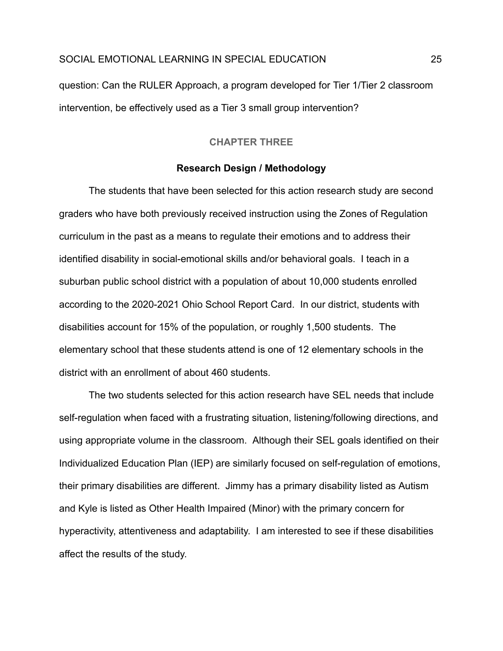<span id="page-25-0"></span>question: Can the RULER Approach, a program developed for Tier 1/Tier 2 classroom intervention, be effectively used as a Tier 3 small group intervention?

# **CHAPTER THREE**

#### **Research Design / Methodology**

The students that have been selected for this action research study are second graders who have both previously received instruction using the Zones of Regulation curriculum in the past as a means to regulate their emotions and to address their identified disability in social-emotional skills and/or behavioral goals. I teach in a suburban public school district with a population of about 10,000 students enrolled according to the 2020-2021 Ohio School Report Card. In our district, students with disabilities account for 15% of the population, or roughly 1,500 students. The elementary school that these students attend is one of 12 elementary schools in the district with an enrollment of about 460 students.

The two students selected for this action research have SEL needs that include self-regulation when faced with a frustrating situation, listening/following directions, and using appropriate volume in the classroom. Although their SEL goals identified on their Individualized Education Plan (IEP) are similarly focused on self-regulation of emotions, their primary disabilities are different. Jimmy has a primary disability listed as Autism and Kyle is listed as Other Health Impaired (Minor) with the primary concern for hyperactivity, attentiveness and adaptability. I am interested to see if these disabilities affect the results of the study.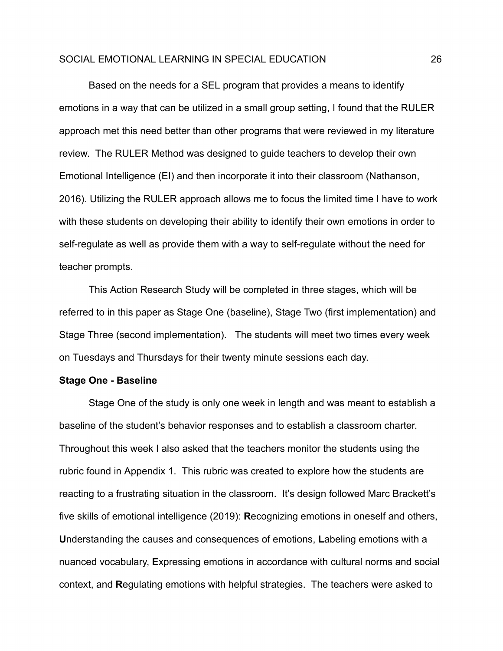Based on the needs for a SEL program that provides a means to identify emotions in a way that can be utilized in a small group setting, I found that the RULER approach met this need better than other programs that were reviewed in my literature review. The RULER Method was designed to guide teachers to develop their own Emotional Intelligence (EI) and then incorporate it into their classroom (Nathanson, 2016). Utilizing the RULER approach allows me to focus the limited time I have to work with these students on developing their ability to identify their own emotions in order to self-regulate as well as provide them with a way to self-regulate without the need for teacher prompts.

This Action Research Study will be completed in three stages, which will be referred to in this paper as Stage One (baseline), Stage Two (first implementation) and Stage Three (second implementation). The students will meet two times every week on Tuesdays and Thursdays for their twenty minute sessions each day.

#### **Stage One - Baseline**

Stage One of the study is only one week in length and was meant to establish a baseline of the student's behavior responses and to establish a classroom charter. Throughout this week I also asked that the teachers monitor the students using the rubric found in Appendix 1. This rubric was created to explore how the students are reacting to a frustrating situation in the classroom. It's design followed Marc Brackett's five skills of emotional intelligence (2019): **R**ecognizing emotions in oneself and others, **U**nderstanding the causes and consequences of emotions, **L**abeling emotions with a nuanced vocabulary, **E**xpressing emotions in accordance with cultural norms and social context, and **R**egulating emotions with helpful strategies. The teachers were asked to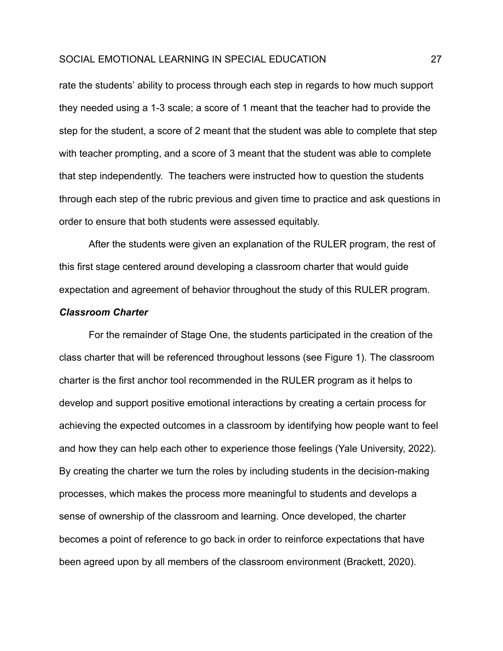rate the students' ability to process through each step in regards to how much support they needed using a 1-3 scale; a score of 1 meant that the teacher had to provide the step for the student, a score of 2 meant that the student was able to complete that step with teacher prompting, and a score of 3 meant that the student was able to complete that step independently. The teachers were instructed how to question the students through each step of the rubric previous and given time to practice and ask questions in order to ensure that both students were assessed equitably.

After the students were given an explanation of the RULER program, the rest of this first stage centered around developing a classroom charter that would guide expectation and agreement of behavior throughout the study of this RULER program.

# *Classroom Charter*

For the remainder of Stage One, the students participated in the creation of the class charter that will be referenced throughout lessons (see Figure 1). The classroom charter is the first anchor tool recommended in the RULER program as it helps to develop and support positive emotional interactions by creating a certain process for achieving the expected outcomes in a classroom by identifying how people want to feel and how they can help each other to experience those feelings (Yale University, 2022). By creating the charter we turn the roles by including students in the decision-making processes, which makes the process more meaningful to students and develops a sense of ownership of the classroom and learning. Once developed, the charter becomes a point of reference to go back in order to reinforce expectations that have been agreed upon by all members of the classroom environment (Brackett, 2020).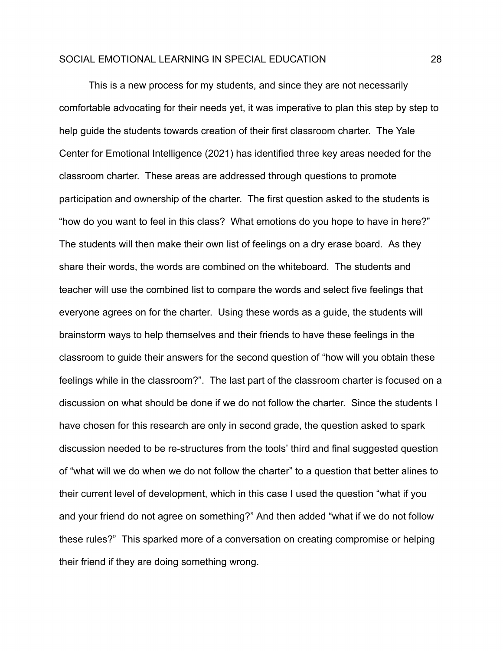This is a new process for my students, and since they are not necessarily comfortable advocating for their needs yet, it was imperative to plan this step by step to help guide the students towards creation of their first classroom charter. The Yale Center for Emotional Intelligence (2021) has identified three key areas needed for the classroom charter. These areas are addressed through questions to promote participation and ownership of the charter. The first question asked to the students is "how do you want to feel in this class? What emotions do you hope to have in here?" The students will then make their own list of feelings on a dry erase board. As they share their words, the words are combined on the whiteboard. The students and teacher will use the combined list to compare the words and select five feelings that everyone agrees on for the charter. Using these words as a guide, the students will brainstorm ways to help themselves and their friends to have these feelings in the classroom to guide their answers for the second question of "how will you obtain these feelings while in the classroom?". The last part of the classroom charter is focused on a discussion on what should be done if we do not follow the charter. Since the students I have chosen for this research are only in second grade, the question asked to spark discussion needed to be re-structures from the tools' third and final suggested question of "what will we do when we do not follow the charter" to a question that better alines to their current level of development, which in this case I used the question "what if you and your friend do not agree on something?" And then added "what if we do not follow these rules?" This sparked more of a conversation on creating compromise or helping their friend if they are doing something wrong.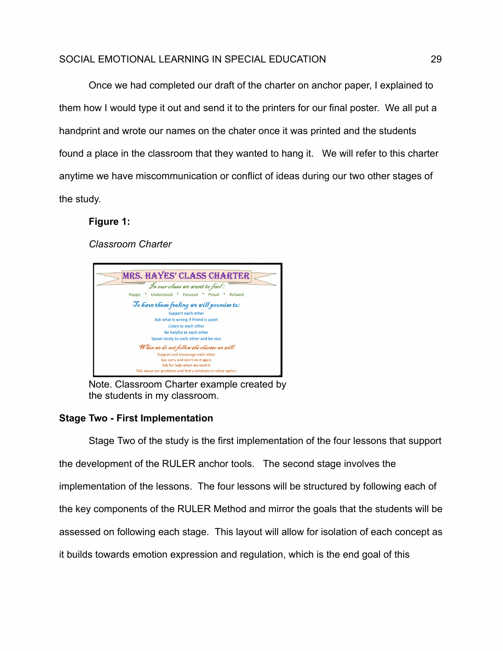Once we had completed our draft of the charter on anchor paper, I explained to them how I would type it out and send it to the printers for our final poster. We all put a handprint and wrote our names on the chater once it was printed and the students found a place in the classroom that they wanted to hang it. We will refer to this charter anytime we have miscommunication or conflict of ideas during our two other stages of the study.

# **Figure 1:**

*Classroom Charter*



Note. Classroom Charter example created by the students in my classroom.

## **Stage Two - First Implementation**

Stage Two of the study is the first implementation of the four lessons that support the development of the RULER anchor tools. The second stage involves the implementation of the lessons. The four lessons will be structured by following each of the key components of the RULER Method and mirror the goals that the students will be assessed on following each stage. This layout will allow for isolation of each concept as it builds towards emotion expression and regulation, which is the end goal of this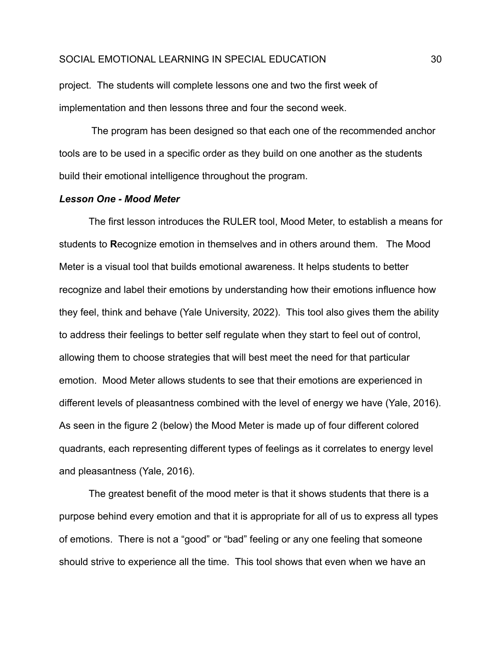project. The students will complete lessons one and two the first week of implementation and then lessons three and four the second week.

The program has been designed so that each one of the recommended anchor tools are to be used in a specific order as they build on one another as the students build their emotional intelligence throughout the program.

#### *Lesson One - Mood Meter*

The first lesson introduces the RULER tool, Mood Meter, to establish a means for students to **R**ecognize emotion in themselves and in others around them. The Mood Meter is a visual tool that builds emotional awareness. It helps students to better recognize and label their emotions by understanding how their emotions influence how they feel, think and behave (Yale University, 2022). This tool also gives them the ability to address their feelings to better self regulate when they start to feel out of control, allowing them to choose strategies that will best meet the need for that particular emotion. Mood Meter allows students to see that their emotions are experienced in different levels of pleasantness combined with the level of energy we have (Yale, 2016). As seen in the figure 2 (below) the Mood Meter is made up of four different colored quadrants, each representing different types of feelings as it correlates to energy level and pleasantness (Yale, 2016).

The greatest benefit of the mood meter is that it shows students that there is a purpose behind every emotion and that it is appropriate for all of us to express all types of emotions. There is not a "good" or "bad" feeling or any one feeling that someone should strive to experience all the time. This tool shows that even when we have an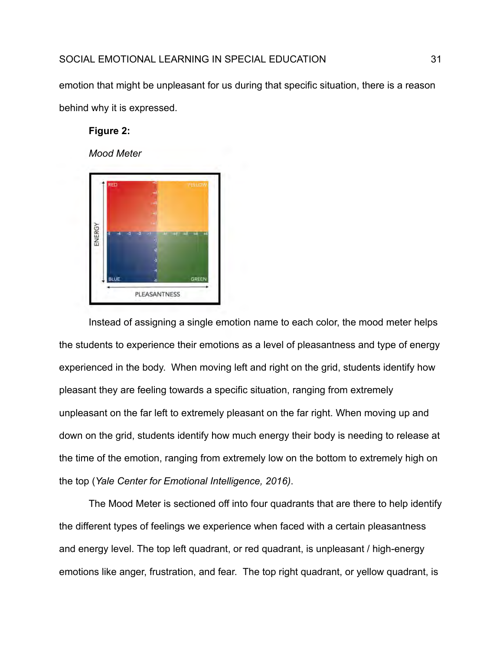emotion that might be unpleasant for us during that specific situation, there is a reason behind why it is expressed.

## **Figure 2:**

*Mood Meter*



Instead of assigning a single emotion name to each color, the mood meter helps the students to experience their emotions as a level of pleasantness and type of energy experienced in the body. When moving left and right on the grid, students identify how pleasant they are feeling towards a specific situation, ranging from extremely unpleasant on the far left to extremely pleasant on the far right. When moving up and down on the grid, students identify how much energy their body is needing to release at the time of the emotion, ranging from extremely low on the bottom to extremely high on the top (*Yale Center for Emotional Intelligence, 2016)*.

The Mood Meter is sectioned off into four quadrants that are there to help identify the different types of feelings we experience when faced with a certain pleasantness and energy level. The top left quadrant, or red quadrant, is unpleasant / high-energy emotions like anger, frustration, and fear. The top right quadrant, or yellow quadrant, is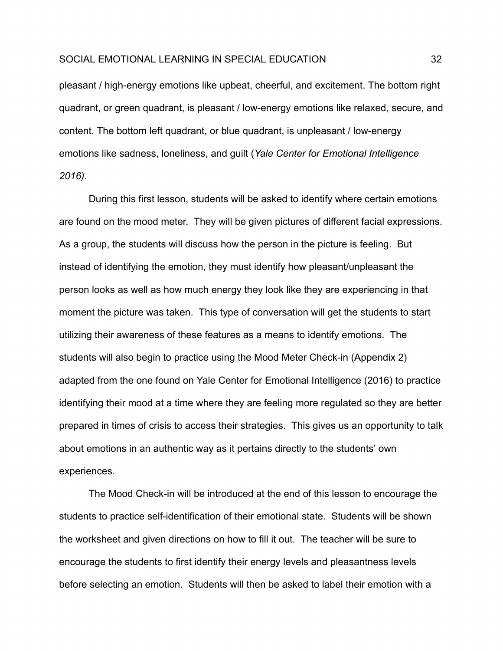pleasant / high-energy emotions like upbeat, cheerful, and excitement. The bottom right quadrant, or green quadrant, is pleasant / low-energy emotions like relaxed, secure, and content. The bottom left quadrant, or blue quadrant, is unpleasant / low-energy emotions like sadness, loneliness, and guilt (*Yale Center for Emotional Intelligence 2016)*.

During this first lesson, students will be asked to identify where certain emotions are found on the mood meter. They will be given pictures of different facial expressions. As a group, the students will discuss how the person in the picture is feeling. But instead of identifying the emotion, they must identify how pleasant/unpleasant the person looks as well as how much energy they look like they are experiencing in that moment the picture was taken. This type of conversation will get the students to start utilizing their awareness of these features as a means to identify emotions. The students will also begin to practice using the Mood Meter Check-in (Appendix 2) adapted from the one found on Yale Center for Emotional Intelligence (2016) to practice identifying their mood at a time where they are feeling more regulated so they are better prepared in times of crisis to access their strategies. This gives us an opportunity to talk about emotions in an authentic way as it pertains directly to the students' own experiences.

The Mood Check-in will be introduced at the end of this lesson to encourage the students to practice self-identification of their emotional state. Students will be shown the worksheet and given directions on how to fill it out. The teacher will be sure to encourage the students to first identify their energy levels and pleasantness levels before selecting an emotion. Students will then be asked to label their emotion with a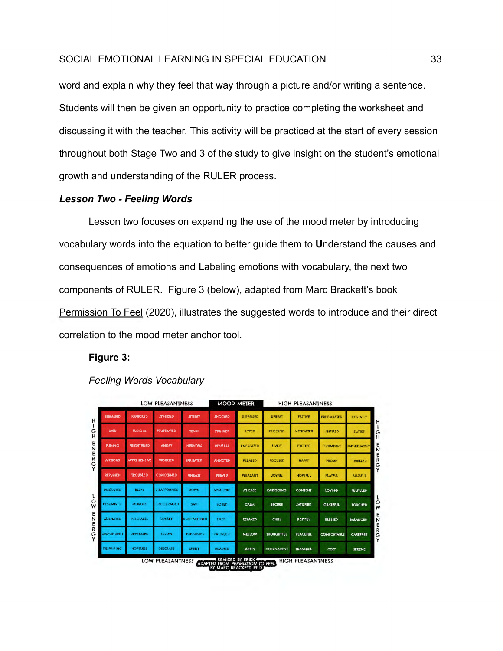word and explain why they feel that way through a picture and/or writing a sentence. Students will then be given an opportunity to practice completing the worksheet and discussing it with the teacher. This activity will be practiced at the start of every session throughout both Stage Two and 3 of the study to give insight on the student's emotional growth and understanding of the RULER process.

## *Lesson Two - Feeling Words*

Lesson two focuses on expanding the use of the mood meter by introducing vocabulary words into the equation to better guide them to **U**nderstand the causes and consequences of emotions and **L**abeling emotions with vocabulary, the next two components of RULER. Figure 3 (below), adapted from Marc Brackett's book Permission To Feel (2020), illustrates the suggested words to introduce and their direct correlation to the mood meter anchor tool.

#### **Figure 3:**



## *Feeling Words Vocabulary*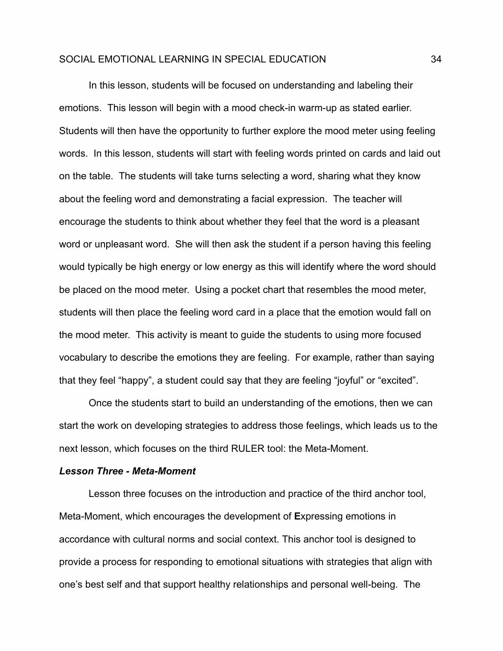In this lesson, students will be focused on understanding and labeling their emotions. This lesson will begin with a mood check-in warm-up as stated earlier. Students will then have the opportunity to further explore the mood meter using feeling words. In this lesson, students will start with feeling words printed on cards and laid out on the table. The students will take turns selecting a word, sharing what they know about the feeling word and demonstrating a facial expression. The teacher will encourage the students to think about whether they feel that the word is a pleasant word or unpleasant word. She will then ask the student if a person having this feeling would typically be high energy or low energy as this will identify where the word should be placed on the mood meter. Using a pocket chart that resembles the mood meter, students will then place the feeling word card in a place that the emotion would fall on the mood meter. This activity is meant to guide the students to using more focused vocabulary to describe the emotions they are feeling. For example, rather than saying that they feel "happy", a student could say that they are feeling "joyful" or "excited".

Once the students start to build an understanding of the emotions, then we can start the work on developing strategies to address those feelings, which leads us to the next lesson, which focuses on the third RULER tool: the Meta-Moment.

#### *Lesson Three - Meta-Moment*

Lesson three focuses on the introduction and practice of the third anchor tool, Meta-Moment, which encourages the development of **E**xpressing emotions in accordance with cultural norms and social context. This anchor tool is designed to provide a process for responding to emotional situations with strategies that align with one's best self and that support healthy relationships and personal well-being. The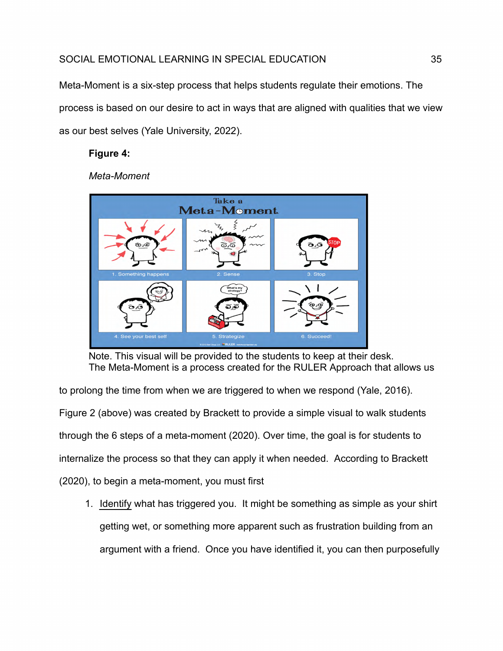Meta-Moment is a six-step process that helps students regulate their emotions. The process is based on our desire to act in ways that are aligned with qualities that we view as our best selves (Yale University, 2022).

# **Figure 4:**

*Meta-Moment*



Note. This visual will be provided to the students to keep at their desk. The Meta-Moment is a process created for the RULER Approach that allows us

to prolong the time from when we are triggered to when we respond (Yale, 2016). Figure 2 (above) was created by Brackett to provide a simple visual to walk students through the 6 steps of a meta-moment (2020). Over time, the goal is for students to internalize the process so that they can apply it when needed. According to Brackett (2020), to begin a meta-moment, you must first

1. Identify what has triggered you. It might be something as simple as your shirt getting wet, or something more apparent such as frustration building from an argument with a friend. Once you have identified it, you can then purposefully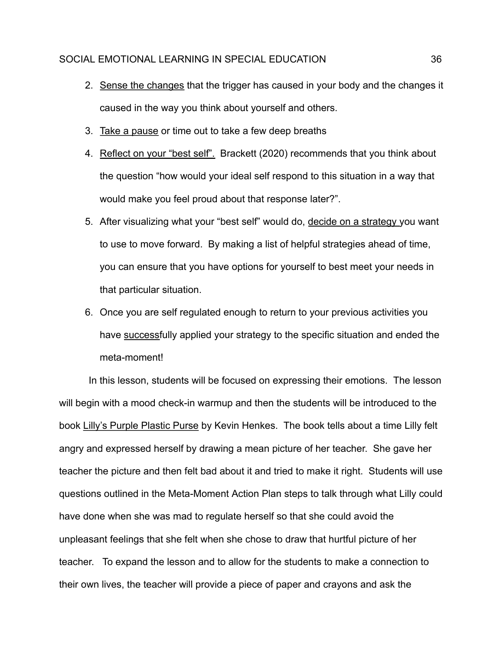- 2. Sense the changes that the trigger has caused in your body and the changes it caused in the way you think about yourself and others.
- 3. Take a pause or time out to take a few deep breaths
- 4. Reflect on your "best self". Brackett (2020) recommends that you think about the question "how would your ideal self respond to this situation in a way that would make you feel proud about that response later?".
- 5. After visualizing what your "best self" would do, decide on a strategy you want to use to move forward. By making a list of helpful strategies ahead of time, you can ensure that you have options for yourself to best meet your needs in that particular situation.
- 6. Once you are self regulated enough to return to your previous activities you have successfully applied your strategy to the specific situation and ended the meta-moment!

In this lesson, students will be focused on expressing their emotions. The lesson will begin with a mood check-in warmup and then the students will be introduced to the book Lilly's Purple Plastic Purse by Kevin Henkes. The book tells about a time Lilly felt angry and expressed herself by drawing a mean picture of her teacher. She gave her teacher the picture and then felt bad about it and tried to make it right. Students will use questions outlined in the Meta-Moment Action Plan steps to talk through what Lilly could have done when she was mad to regulate herself so that she could avoid the unpleasant feelings that she felt when she chose to draw that hurtful picture of her teacher. To expand the lesson and to allow for the students to make a connection to their own lives, the teacher will provide a piece of paper and crayons and ask the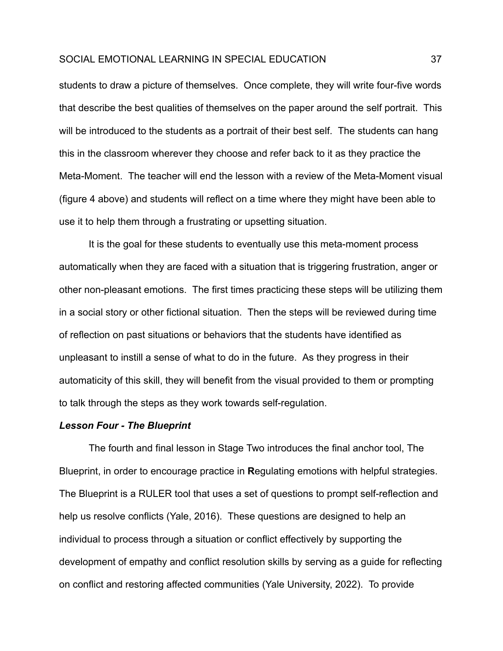students to draw a picture of themselves. Once complete, they will write four-five words that describe the best qualities of themselves on the paper around the self portrait. This will be introduced to the students as a portrait of their best self. The students can hang this in the classroom wherever they choose and refer back to it as they practice the Meta-Moment. The teacher will end the lesson with a review of the Meta-Moment visual (figure 4 above) and students will reflect on a time where they might have been able to use it to help them through a frustrating or upsetting situation.

It is the goal for these students to eventually use this meta-moment process automatically when they are faced with a situation that is triggering frustration, anger or other non-pleasant emotions. The first times practicing these steps will be utilizing them in a social story or other fictional situation. Then the steps will be reviewed during time of reflection on past situations or behaviors that the students have identified as unpleasant to instill a sense of what to do in the future. As they progress in their automaticity of this skill, they will benefit from the visual provided to them or prompting to talk through the steps as they work towards self-regulation.

#### *Lesson Four - The Blueprint*

The fourth and final lesson in Stage Two introduces the final anchor tool, The Blueprint, in order to encourage practice in **R**egulating emotions with helpful strategies. The Blueprint is a RULER tool that uses a set of questions to prompt self-reflection and help us resolve conflicts (Yale, 2016). These questions are designed to help an individual to process through a situation or conflict effectively by supporting the development of empathy and conflict resolution skills by serving as a guide for reflecting on conflict and restoring affected communities (Yale University, 2022). To provide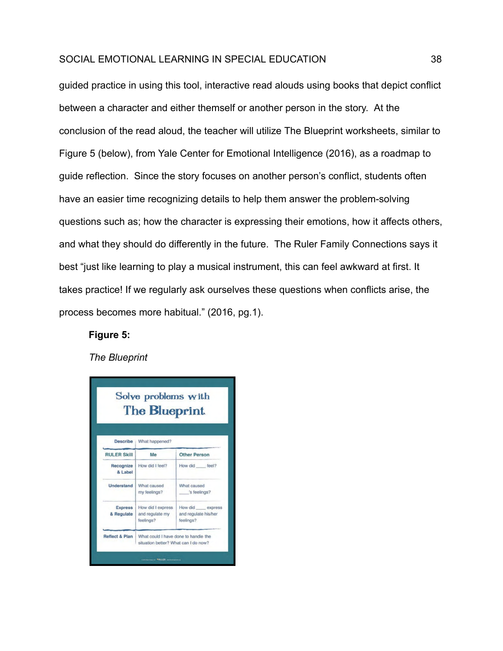guided practice in using this tool, interactive read alouds using books that depict conflict between a character and either themself or another person in the story. At the conclusion of the read aloud, the teacher will utilize The Blueprint worksheets, similar to Figure 5 (below), from Yale Center for Emotional Intelligence (2016), as a roadmap to guide reflection. Since the story focuses on another person's conflict, students often have an easier time recognizing details to help them answer the problem-solving questions such as; how the character is expressing their emotions, how it affects others, and what they should do differently in the future. The Ruler Family Connections says it best "just like learning to play a musical instrument, this can feel awkward at first. It takes practice! If we regularly ask ourselves these questions when conflicts arise, the process becomes more habitual." (2016, pg.1).

#### **Figure 5:**

*The Blueprint*

| Solve problems with<br><b>The Blueprint</b> |                                                                              |                                                      |  |  |  |
|---------------------------------------------|------------------------------------------------------------------------------|------------------------------------------------------|--|--|--|
| <b>Describe</b>                             | What happened?                                                               |                                                      |  |  |  |
| <b>RULER Skill</b>                          | Me                                                                           | <b>Other Person</b>                                  |  |  |  |
| Recognize<br>& Label                        | How did I feel?                                                              | How did feel?                                        |  |  |  |
| <b>Understand</b>                           | What caused<br>my feelings?                                                  | What caused<br>'s feelings?                          |  |  |  |
| <b>Express</b><br>& Regulate                | How did I express<br>and regulate my<br>feelings?                            | How did express<br>and regulate his/her<br>feelings? |  |  |  |
| <b>Reflect &amp; Plan</b>                   | What could I have done to handle the<br>situation better? What can I do now? |                                                      |  |  |  |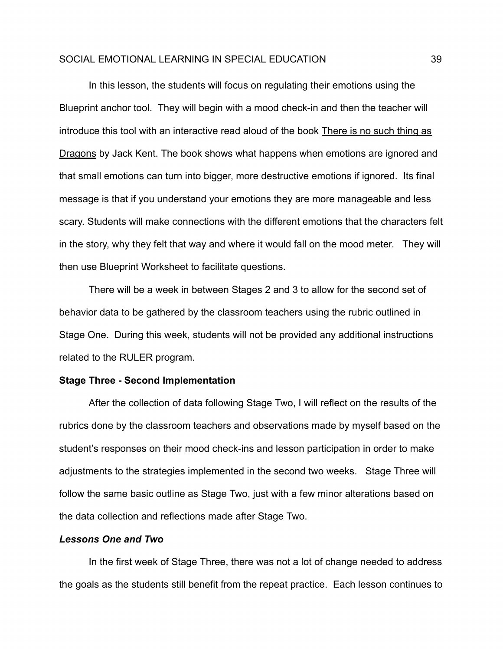In this lesson, the students will focus on regulating their emotions using the Blueprint anchor tool. They will begin with a mood check-in and then the teacher will introduce this tool with an interactive read aloud of the book There is no such thing as Dragons by Jack Kent. The book shows what happens when emotions are ignored and that small emotions can turn into bigger, more destructive emotions if ignored. Its final message is that if you understand your emotions they are more manageable and less scary. Students will make connections with the different emotions that the characters felt in the story, why they felt that way and where it would fall on the mood meter. They will then use Blueprint Worksheet to facilitate questions.

There will be a week in between Stages 2 and 3 to allow for the second set of behavior data to be gathered by the classroom teachers using the rubric outlined in Stage One. During this week, students will not be provided any additional instructions related to the RULER program.

#### **Stage Three - Second Implementation**

After the collection of data following Stage Two, I will reflect on the results of the rubrics done by the classroom teachers and observations made by myself based on the student's responses on their mood check-ins and lesson participation in order to make adjustments to the strategies implemented in the second two weeks. Stage Three will follow the same basic outline as Stage Two, just with a few minor alterations based on the data collection and reflections made after Stage Two.

#### *Lessons One and Two*

In the first week of Stage Three, there was not a lot of change needed to address the goals as the students still benefit from the repeat practice. Each lesson continues to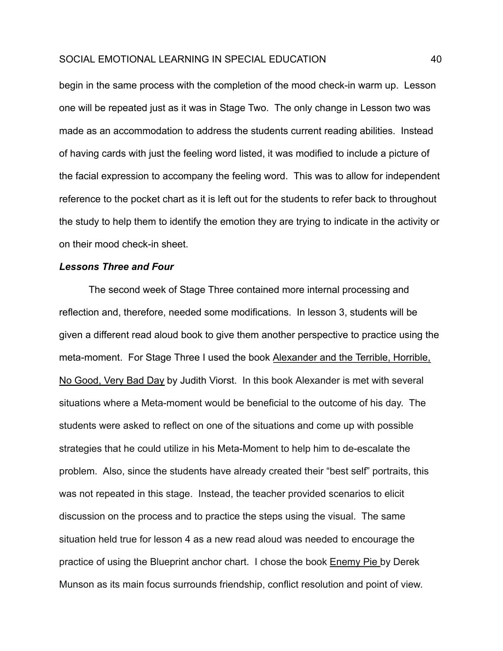begin in the same process with the completion of the mood check-in warm up. Lesson one will be repeated just as it was in Stage Two. The only change in Lesson two was made as an accommodation to address the students current reading abilities. Instead of having cards with just the feeling word listed, it was modified to include a picture of the facial expression to accompany the feeling word. This was to allow for independent reference to the pocket chart as it is left out for the students to refer back to throughout the study to help them to identify the emotion they are trying to indicate in the activity or on their mood check-in sheet.

#### *Lessons Three and Four*

The second week of Stage Three contained more internal processing and reflection and, therefore, needed some modifications. In lesson 3, students will be given a different read aloud book to give them another perspective to practice using the meta-moment. For Stage Three I used the book Alexander and the Terrible, Horrible, No Good, Very Bad Day by Judith Viorst. In this book Alexander is met with several situations where a Meta-moment would be beneficial to the outcome of his day. The students were asked to reflect on one of the situations and come up with possible strategies that he could utilize in his Meta-Moment to help him to de-escalate the problem. Also, since the students have already created their "best self" portraits, this was not repeated in this stage. Instead, the teacher provided scenarios to elicit discussion on the process and to practice the steps using the visual. The same situation held true for lesson 4 as a new read aloud was needed to encourage the practice of using the Blueprint anchor chart. I chose the book Enemy Pie by Derek Munson as its main focus surrounds friendship, conflict resolution and point of view.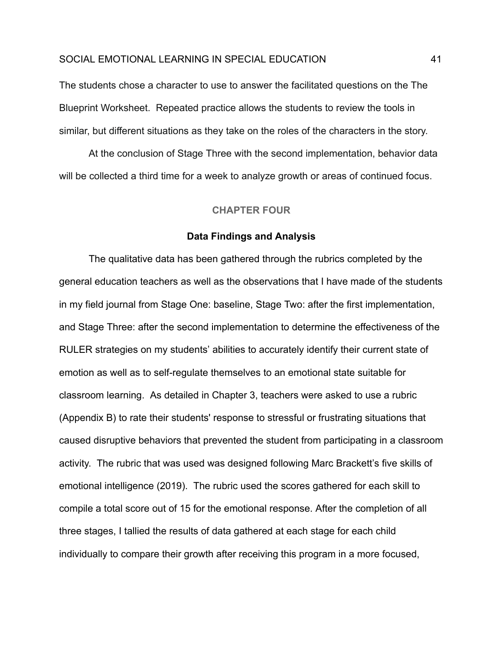The students chose a character to use to answer the facilitated questions on the The Blueprint Worksheet. Repeated practice allows the students to review the tools in similar, but different situations as they take on the roles of the characters in the story.

<span id="page-41-0"></span>At the conclusion of Stage Three with the second implementation, behavior data will be collected a third time for a week to analyze growth or areas of continued focus.

#### **CHAPTER FOUR**

#### **Data Findings and Analysis**

The qualitative data has been gathered through the rubrics completed by the general education teachers as well as the observations that I have made of the students in my field journal from Stage One: baseline, Stage Two: after the first implementation, and Stage Three: after the second implementation to determine the effectiveness of the RULER strategies on my students' abilities to accurately identify their current state of emotion as well as to self-regulate themselves to an emotional state suitable for classroom learning. As detailed in Chapter 3, teachers were asked to use a rubric (Appendix B) to rate their students' response to stressful or frustrating situations that caused disruptive behaviors that prevented the student from participating in a classroom activity. The rubric that was used was designed following Marc Brackett's five skills of emotional intelligence (2019). The rubric used the scores gathered for each skill to compile a total score out of 15 for the emotional response. After the completion of all three stages, I tallied the results of data gathered at each stage for each child individually to compare their growth after receiving this program in a more focused,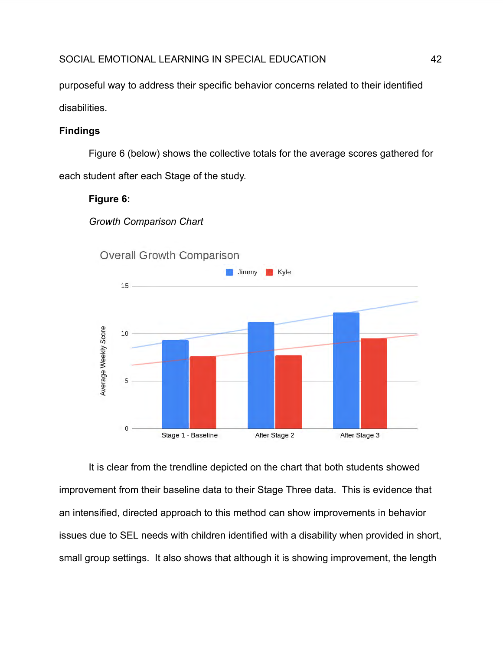purposeful way to address their specific behavior concerns related to their identified disabilities.

# **Findings**

Figure 6 (below) shows the collective totals for the average scores gathered for each student after each Stage of the study.

# **Figure 6:**

*Growth Comparison Chart*



It is clear from the trendline depicted on the chart that both students showed improvement from their baseline data to their Stage Three data. This is evidence that an intensified, directed approach to this method can show improvements in behavior issues due to SEL needs with children identified with a disability when provided in short, small group settings. It also shows that although it is showing improvement, the length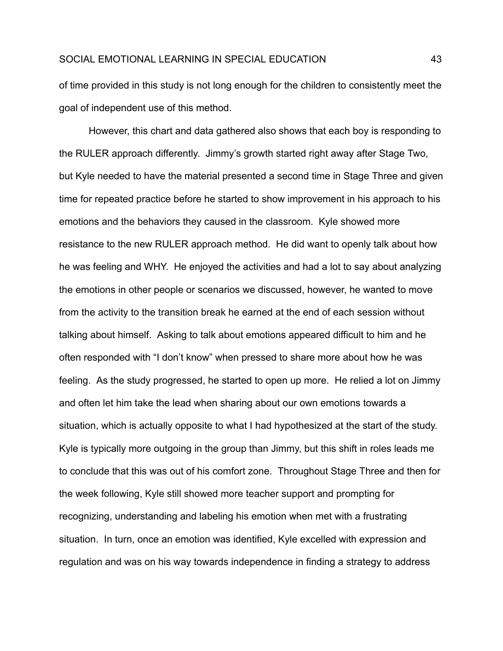of time provided in this study is not long enough for the children to consistently meet the goal of independent use of this method.

However, this chart and data gathered also shows that each boy is responding to the RULER approach differently. Jimmy's growth started right away after Stage Two, but Kyle needed to have the material presented a second time in Stage Three and given time for repeated practice before he started to show improvement in his approach to his emotions and the behaviors they caused in the classroom. Kyle showed more resistance to the new RULER approach method. He did want to openly talk about how he was feeling and WHY. He enjoyed the activities and had a lot to say about analyzing the emotions in other people or scenarios we discussed, however, he wanted to move from the activity to the transition break he earned at the end of each session without talking about himself. Asking to talk about emotions appeared difficult to him and he often responded with "I don't know" when pressed to share more about how he was feeling. As the study progressed, he started to open up more. He relied a lot on Jimmy and often let him take the lead when sharing about our own emotions towards a situation, which is actually opposite to what I had hypothesized at the start of the study. Kyle is typically more outgoing in the group than Jimmy, but this shift in roles leads me to conclude that this was out of his comfort zone. Throughout Stage Three and then for the week following, Kyle still showed more teacher support and prompting for recognizing, understanding and labeling his emotion when met with a frustrating situation. In turn, once an emotion was identified, Kyle excelled with expression and regulation and was on his way towards independence in finding a strategy to address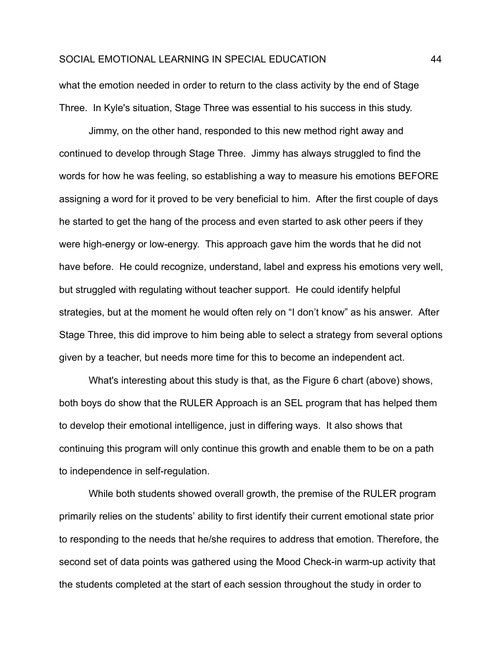what the emotion needed in order to return to the class activity by the end of Stage Three. In Kyle's situation, Stage Three was essential to his success in this study.

Jimmy, on the other hand, responded to this new method right away and continued to develop through Stage Three. Jimmy has always struggled to find the words for how he was feeling, so establishing a way to measure his emotions BEFORE assigning a word for it proved to be very beneficial to him. After the first couple of days he started to get the hang of the process and even started to ask other peers if they were high-energy or low-energy. This approach gave him the words that he did not have before. He could recognize, understand, label and express his emotions very well, but struggled with regulating without teacher support. He could identify helpful strategies, but at the moment he would often rely on "I don't know" as his answer. After Stage Three, this did improve to him being able to select a strategy from several options given by a teacher, but needs more time for this to become an independent act.

What's interesting about this study is that, as the Figure 6 chart (above) shows, both boys do show that the RULER Approach is an SEL program that has helped them to develop their emotional intelligence, just in differing ways. It also shows that continuing this program will only continue this growth and enable them to be on a path to independence in self-regulation.

While both students showed overall growth, the premise of the RULER program primarily relies on the students' ability to first identify their current emotional state prior to responding to the needs that he/she requires to address that emotion. Therefore, the second set of data points was gathered using the Mood Check-in warm-up activity that the students completed at the start of each session throughout the study in order to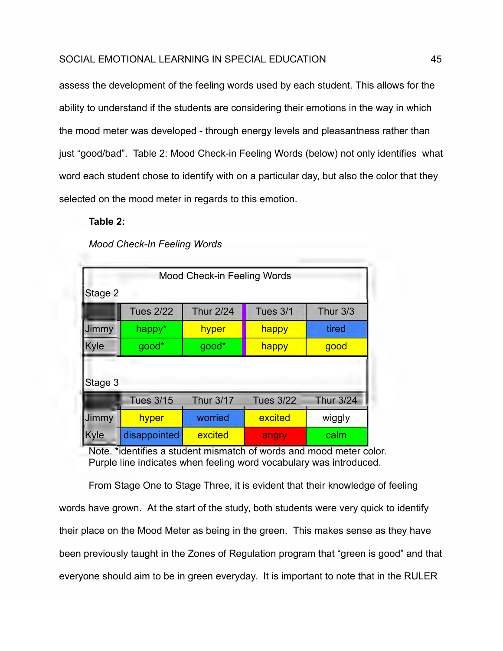assess the development of the feeling words used by each student. This allows for the ability to understand if the students are considering their emotions in the way in which the mood meter was developed - through energy levels and pleasantness rather than just "good/bad". Table 2: Mood Check-in Feeling Words (below) not only identifies what word each student chose to identify with on a particular day, but also the color that they selected on the mood meter in regards to this emotion.

# **Table 2:**

*Mood Check-In Feeling Words*

|              |                  | Mood Check-in Feeling Words |                  |                  |  |  |  |
|--------------|------------------|-----------------------------|------------------|------------------|--|--|--|
| Stage 2      |                  |                             |                  |                  |  |  |  |
|              | <b>Tues 2/22</b> | <b>Thur 2/24</b>            | Tues 3/1         | <b>Thur 3/3</b>  |  |  |  |
| Jimmy        | happy*           | hyper                       | tired<br>happy   |                  |  |  |  |
| Kyle         | good*            | good*                       | happy            | good             |  |  |  |
| Stage 3      |                  |                             |                  |                  |  |  |  |
|              | <b>Tues 3/15</b> | <b>Thur 3/17</b>            | <b>Tues 3/22</b> | <b>Thur 3/24</b> |  |  |  |
| <b>Jimmy</b> | hyper            | worried                     | excited          | wiggly           |  |  |  |
| Kyle         | disappointed     | excited                     | angry            | calm             |  |  |  |

Note. \*identifies a student mismatch of words and mood meter color. Purple line indicates when feeling word vocabulary was introduced.

From Stage One to Stage Three, it is evident that their knowledge of feeling words have grown. At the start of the study, both students were very quick to identify their place on the Mood Meter as being in the green. This makes sense as they have been previously taught in the Zones of Regulation program that "green is good" and that everyone should aim to be in green everyday. It is important to note that in the RULER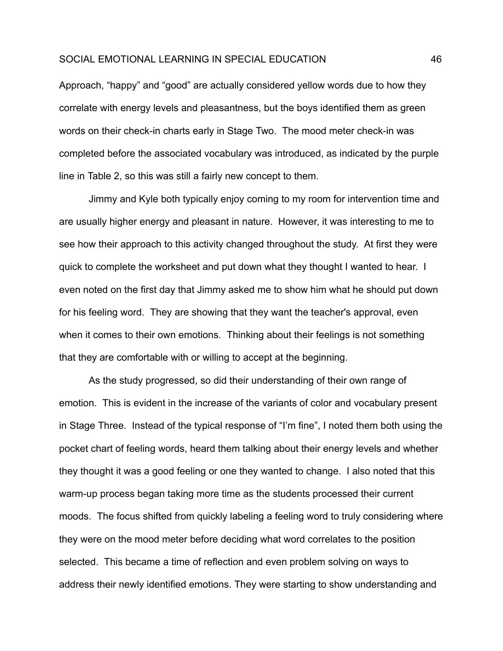Approach, "happy" and "good" are actually considered yellow words due to how they correlate with energy levels and pleasantness, but the boys identified them as green words on their check-in charts early in Stage Two. The mood meter check-in was completed before the associated vocabulary was introduced, as indicated by the purple line in Table 2, so this was still a fairly new concept to them.

Jimmy and Kyle both typically enjoy coming to my room for intervention time and are usually higher energy and pleasant in nature. However, it was interesting to me to see how their approach to this activity changed throughout the study. At first they were quick to complete the worksheet and put down what they thought I wanted to hear. I even noted on the first day that Jimmy asked me to show him what he should put down for his feeling word. They are showing that they want the teacher's approval, even when it comes to their own emotions. Thinking about their feelings is not something that they are comfortable with or willing to accept at the beginning.

As the study progressed, so did their understanding of their own range of emotion. This is evident in the increase of the variants of color and vocabulary present in Stage Three. Instead of the typical response of "I'm fine", I noted them both using the pocket chart of feeling words, heard them talking about their energy levels and whether they thought it was a good feeling or one they wanted to change. I also noted that this warm-up process began taking more time as the students processed their current moods. The focus shifted from quickly labeling a feeling word to truly considering where they were on the mood meter before deciding what word correlates to the position selected. This became a time of reflection and even problem solving on ways to address their newly identified emotions. They were starting to show understanding and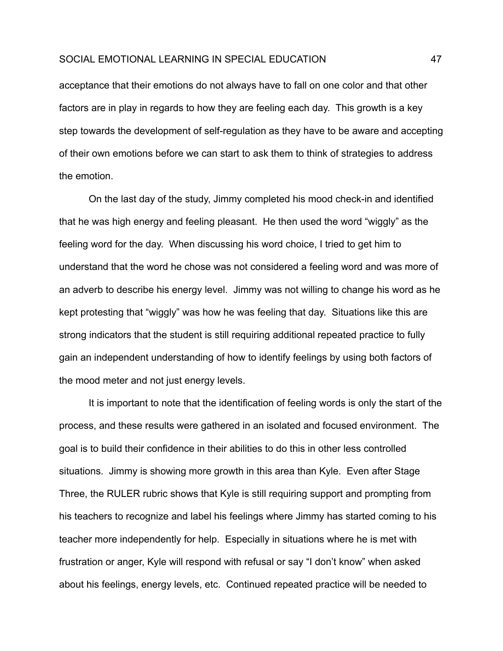acceptance that their emotions do not always have to fall on one color and that other factors are in play in regards to how they are feeling each day. This growth is a key step towards the development of self-regulation as they have to be aware and accepting of their own emotions before we can start to ask them to think of strategies to address the emotion.

On the last day of the study, Jimmy completed his mood check-in and identified that he was high energy and feeling pleasant. He then used the word "wiggly" as the feeling word for the day. When discussing his word choice, I tried to get him to understand that the word he chose was not considered a feeling word and was more of an adverb to describe his energy level. Jimmy was not willing to change his word as he kept protesting that "wiggly" was how he was feeling that day. Situations like this are strong indicators that the student is still requiring additional repeated practice to fully gain an independent understanding of how to identify feelings by using both factors of the mood meter and not just energy levels.

It is important to note that the identification of feeling words is only the start of the process, and these results were gathered in an isolated and focused environment. The goal is to build their confidence in their abilities to do this in other less controlled situations. Jimmy is showing more growth in this area than Kyle. Even after Stage Three, the RULER rubric shows that Kyle is still requiring support and prompting from his teachers to recognize and label his feelings where Jimmy has started coming to his teacher more independently for help. Especially in situations where he is met with frustration or anger, Kyle will respond with refusal or say "I don't know" when asked about his feelings, energy levels, etc. Continued repeated practice will be needed to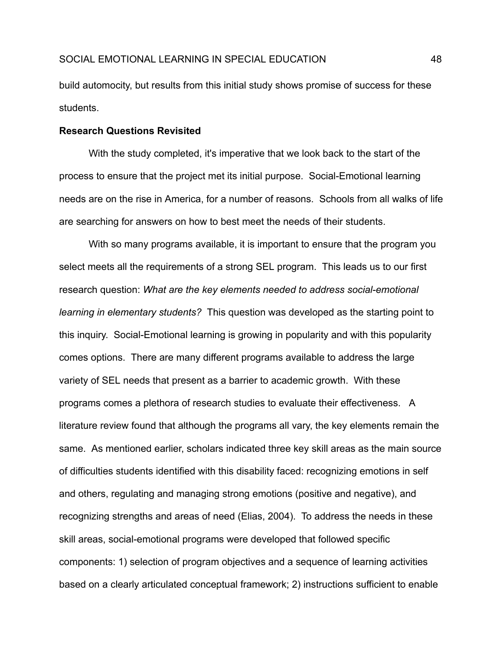build automocity, but results from this initial study shows promise of success for these students.

#### **Research Questions Revisited**

With the study completed, it's imperative that we look back to the start of the process to ensure that the project met its initial purpose. Social-Emotional learning needs are on the rise in America, for a number of reasons. Schools from all walks of life are searching for answers on how to best meet the needs of their students.

With so many programs available, it is important to ensure that the program you select meets all the requirements of a strong SEL program. This leads us to our first research question: *What are the key elements needed to address social-emotional learning in elementary students?* This question was developed as the starting point to this inquiry. Social-Emotional learning is growing in popularity and with this popularity comes options. There are many different programs available to address the large variety of SEL needs that present as a barrier to academic growth. With these programs comes a plethora of research studies to evaluate their effectiveness. A literature review found that although the programs all vary, the key elements remain the same. As mentioned earlier, scholars indicated three key skill areas as the main source of difficulties students identified with this disability faced: recognizing emotions in self and others, regulating and managing strong emotions (positive and negative), and recognizing strengths and areas of need (Elias, 2004). To address the needs in these skill areas, social-emotional programs were developed that followed specific components: 1) selection of program objectives and a sequence of learning activities based on a clearly articulated conceptual framework; 2) instructions sufficient to enable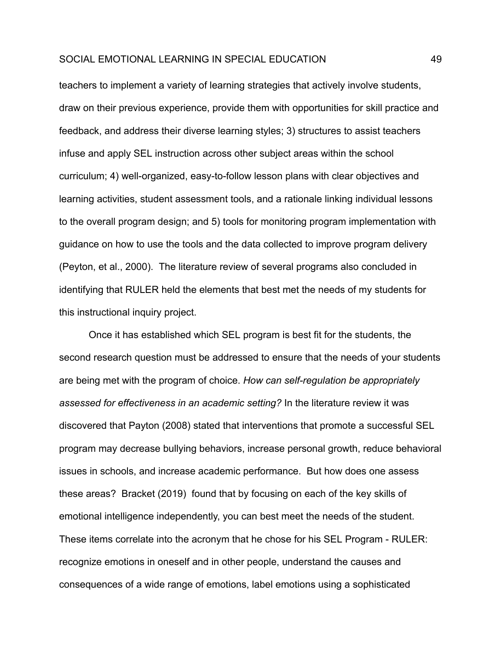teachers to implement a variety of learning strategies that actively involve students, draw on their previous experience, provide them with opportunities for skill practice and feedback, and address their diverse learning styles; 3) structures to assist teachers infuse and apply SEL instruction across other subject areas within the school curriculum; 4) well-organized, easy-to-follow lesson plans with clear objectives and learning activities, student assessment tools, and a rationale linking individual lessons to the overall program design; and 5) tools for monitoring program implementation with guidance on how to use the tools and the data collected to improve program delivery (Peyton, et al., 2000). The literature review of several programs also concluded in identifying that RULER held the elements that best met the needs of my students for this instructional inquiry project.

Once it has established which SEL program is best fit for the students, the second research question must be addressed to ensure that the needs of your students are being met with the program of choice. *How can self-regulation be appropriately assessed for effectiveness in an academic setting?* In the literature review it was discovered that Payton (2008) stated that interventions that promote a successful SEL program may decrease bullying behaviors, increase personal growth, reduce behavioral issues in schools, and increase academic performance. But how does one assess these areas? Bracket (2019) found that by focusing on each of the key skills of emotional intelligence independently, you can best meet the needs of the student. These items correlate into the acronym that he chose for his SEL Program - RULER: recognize emotions in oneself and in other people, understand the causes and consequences of a wide range of emotions, label emotions using a sophisticated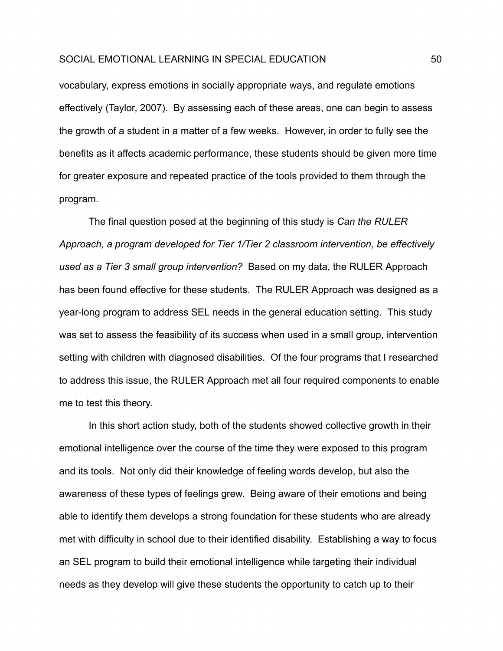vocabulary, express emotions in socially appropriate ways, and regulate emotions effectively (Taylor, 2007). By assessing each of these areas, one can begin to assess the growth of a student in a matter of a few weeks. However, in order to fully see the benefits as it affects academic performance, these students should be given more time for greater exposure and repeated practice of the tools provided to them through the program.

The final question posed at the beginning of this study is *Can the RULER Approach, a program developed for Tier 1/Tier 2 classroom intervention, be effectively used as a Tier 3 small group intervention?* Based on my data, the RULER Approach has been found effective for these students. The RULER Approach was designed as a year-long program to address SEL needs in the general education setting. This study was set to assess the feasibility of its success when used in a small group, intervention setting with children with diagnosed disabilities. Of the four programs that I researched to address this issue, the RULER Approach met all four required components to enable me to test this theory.

In this short action study, both of the students showed collective growth in their emotional intelligence over the course of the time they were exposed to this program and its tools. Not only did their knowledge of feeling words develop, but also the awareness of these types of feelings grew. Being aware of their emotions and being able to identify them develops a strong foundation for these students who are already met with difficulty in school due to their identified disability. Establishing a way to focus an SEL program to build their emotional intelligence while targeting their individual needs as they develop will give these students the opportunity to catch up to their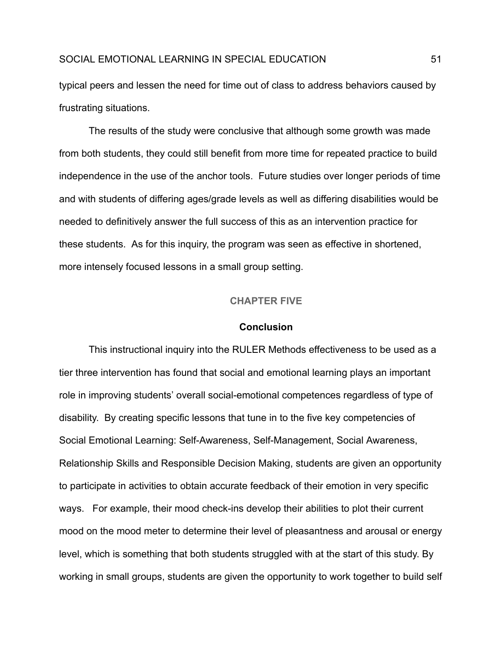typical peers and lessen the need for time out of class to address behaviors caused by frustrating situations.

The results of the study were conclusive that although some growth was made from both students, they could still benefit from more time for repeated practice to build independence in the use of the anchor tools. Future studies over longer periods of time and with students of differing ages/grade levels as well as differing disabilities would be needed to definitively answer the full success of this as an intervention practice for these students. As for this inquiry, the program was seen as effective in shortened, more intensely focused lessons in a small group setting.

#### **CHAPTER FIVE**

#### **Conclusion**

<span id="page-51-0"></span>This instructional inquiry into the RULER Methods effectiveness to be used as a tier three intervention has found that social and emotional learning plays an important role in improving students' overall social-emotional competences regardless of type of disability. By creating specific lessons that tune in to the five key competencies of Social Emotional Learning: Self-Awareness, Self-Management, Social Awareness, Relationship Skills and Responsible Decision Making, students are given an opportunity to participate in activities to obtain accurate feedback of their emotion in very specific ways. For example, their mood check-ins develop their abilities to plot their current mood on the mood meter to determine their level of pleasantness and arousal or energy level, which is something that both students struggled with at the start of this study. By working in small groups, students are given the opportunity to work together to build self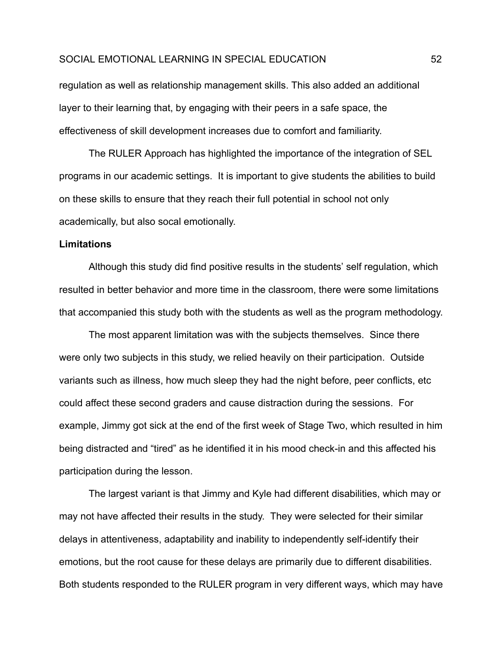regulation as well as relationship management skills. This also added an additional layer to their learning that, by engaging with their peers in a safe space, the effectiveness of skill development increases due to comfort and familiarity.

The RULER Approach has highlighted the importance of the integration of SEL programs in our academic settings. It is important to give students the abilities to build on these skills to ensure that they reach their full potential in school not only academically, but also socal emotionally.

#### **Limitations**

Although this study did find positive results in the students' self regulation, which resulted in better behavior and more time in the classroom, there were some limitations that accompanied this study both with the students as well as the program methodology.

The most apparent limitation was with the subjects themselves. Since there were only two subjects in this study, we relied heavily on their participation. Outside variants such as illness, how much sleep they had the night before, peer conflicts, etc could affect these second graders and cause distraction during the sessions. For example, Jimmy got sick at the end of the first week of Stage Two, which resulted in him being distracted and "tired" as he identified it in his mood check-in and this affected his participation during the lesson.

The largest variant is that Jimmy and Kyle had different disabilities, which may or may not have affected their results in the study. They were selected for their similar delays in attentiveness, adaptability and inability to independently self-identify their emotions, but the root cause for these delays are primarily due to different disabilities. Both students responded to the RULER program in very different ways, which may have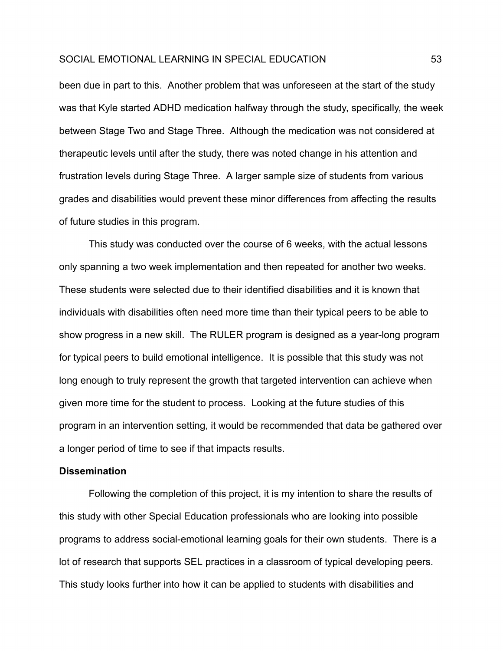been due in part to this. Another problem that was unforeseen at the start of the study was that Kyle started ADHD medication halfway through the study, specifically, the week between Stage Two and Stage Three. Although the medication was not considered at therapeutic levels until after the study, there was noted change in his attention and frustration levels during Stage Three. A larger sample size of students from various grades and disabilities would prevent these minor differences from affecting the results of future studies in this program.

This study was conducted over the course of 6 weeks, with the actual lessons only spanning a two week implementation and then repeated for another two weeks. These students were selected due to their identified disabilities and it is known that individuals with disabilities often need more time than their typical peers to be able to show progress in a new skill. The RULER program is designed as a year-long program for typical peers to build emotional intelligence. It is possible that this study was not long enough to truly represent the growth that targeted intervention can achieve when given more time for the student to process. Looking at the future studies of this program in an intervention setting, it would be recommended that data be gathered over a longer period of time to see if that impacts results.

#### **Dissemination**

Following the completion of this project, it is my intention to share the results of this study with other Special Education professionals who are looking into possible programs to address social-emotional learning goals for their own students. There is a lot of research that supports SEL practices in a classroom of typical developing peers. This study looks further into how it can be applied to students with disabilities and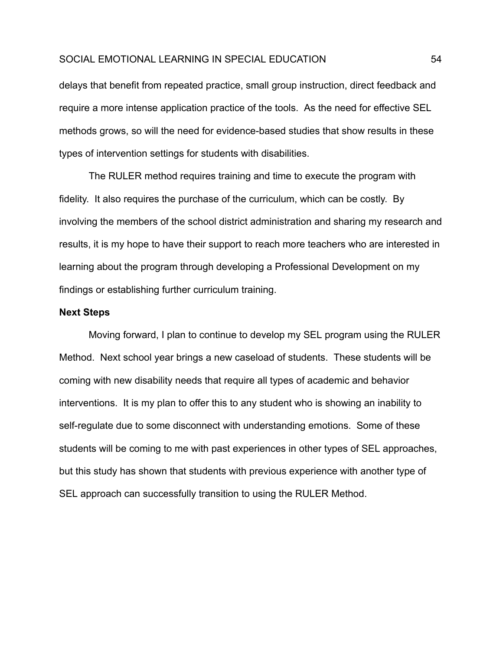delays that benefit from repeated practice, small group instruction, direct feedback and require a more intense application practice of the tools. As the need for effective SEL methods grows, so will the need for evidence-based studies that show results in these types of intervention settings for students with disabilities.

The RULER method requires training and time to execute the program with fidelity. It also requires the purchase of the curriculum, which can be costly. By involving the members of the school district administration and sharing my research and results, it is my hope to have their support to reach more teachers who are interested in learning about the program through developing a Professional Development on my findings or establishing further curriculum training.

#### **Next Steps**

Moving forward, I plan to continue to develop my SEL program using the RULER Method. Next school year brings a new caseload of students. These students will be coming with new disability needs that require all types of academic and behavior interventions. It is my plan to offer this to any student who is showing an inability to self-regulate due to some disconnect with understanding emotions. Some of these students will be coming to me with past experiences in other types of SEL approaches, but this study has shown that students with previous experience with another type of SEL approach can successfully transition to using the RULER Method.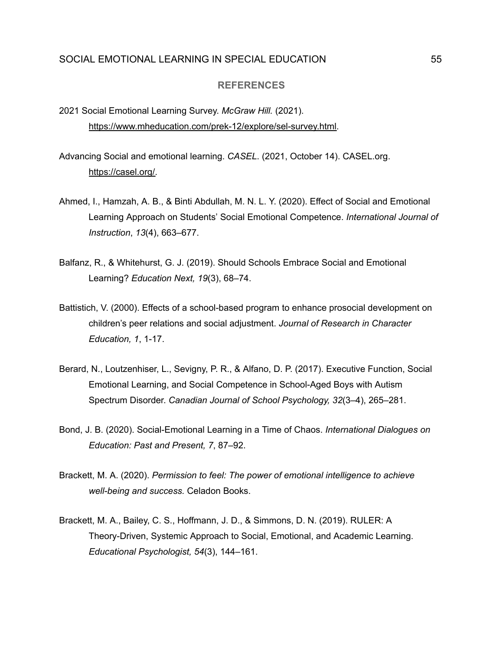#### **REFERENCES**

- <span id="page-55-0"></span>2021 Social Emotional Learning Survey. *McGraw Hill.* (2021). [https://www.mheducation.com/prek-12/explore/sel-survey.html.](https://www.mheducation.com/prek-12/explore/sel-survey.html)
- Advancing Social and emotional learning. *CASEL*. (2021, October 14). [CASEL.org](https://CASEL.org). [https://casel.org/.](https://casel.org/)
- Ahmed, I., Hamzah, A. B., & Binti Abdullah, M. N. L. Y. (2020). Effect of Social and Emotional Learning Approach on Students' Social Emotional Competence. *International Journal of Instruction*, *13*(4), 663–677.
- Balfanz, R., & Whitehurst, G. J. (2019). Should Schools Embrace Social and Emotional Learning? *Education Next, 19*(3), 68–74.
- Battistich, V. (2000). Effects of a school-based program to enhance prosocial development on children's peer relations and social adjustment. *Journal of Research in Character Education, 1*, 1-17.
- Berard, N., Loutzenhiser, L., Sevigny, P. R., & Alfano, D. P. (2017). Executive Function, Social Emotional Learning, and Social Competence in School-Aged Boys with Autism Spectrum Disorder. *Canadian Journal of School Psychology, 32*(3–4), 265–281.
- Bond, J. B. (2020). Social-Emotional Learning in a Time of Chaos. *International Dialogues on Education: Past and Present, 7*, 87–92.
- Brackett, M. A. (2020). *Permission to feel: The power of emotional intelligence to achieve well-being and success.* Celadon Books.
- Brackett, M. A., Bailey, C. S., Hoffmann, J. D., & Simmons, D. N. (2019). RULER: A Theory-Driven, Systemic Approach to Social, Emotional, and Academic Learning. *Educational Psychologist, 54*(3), 144–161.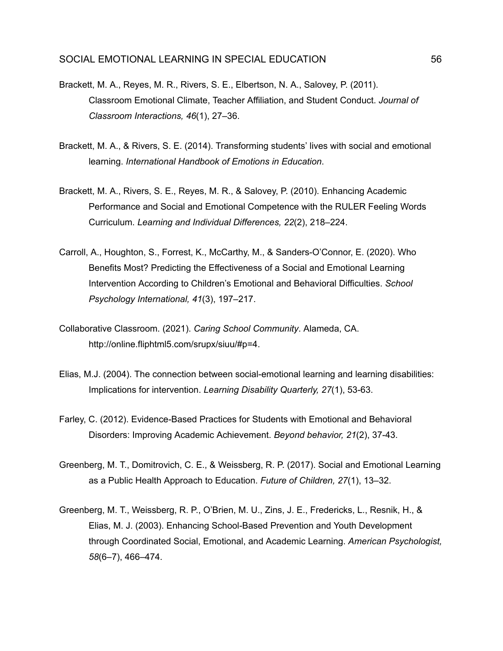- Brackett, M. A., Reyes, M. R., Rivers, S. E., Elbertson, N. A., Salovey, P. (2011). Classroom Emotional Climate, Teacher Affiliation, and Student Conduct. *Journal of Classroom Interactions, 46*(1), 27–36.
- Brackett, M. A., & Rivers, S. E. (2014). Transforming students' lives with social and emotional learning. *International Handbook of Emotions in Education*.
- Brackett, M. A., Rivers, S. E., Reyes, M. R., & Salovey, P. (2010). Enhancing Academic Performance and Social and Emotional Competence with the RULER Feeling Words Curriculum. *Learning and Individual Differences, 22*(2), 218–224.
- Carroll, A., Houghton, S., Forrest, K., McCarthy, M., & Sanders-O'Connor, E. (2020). Who Benefits Most? Predicting the Effectiveness of a Social and Emotional Learning Intervention According to Children's Emotional and Behavioral Difficulties. *School Psychology International, 41*(3), 197–217.
- Collaborative Classroom. (2021). *Caring School Community*. Alameda, CA. [http://online.fliphtml5.com/srupx/siuu/#p=4.](http://online.fliphtml5.com/srupx/siuu/#p=4)
- Elias, M.J. (2004). The connection between social-emotional learning and learning disabilities: Implications for intervention. *Learning Disability Quarterly, 27*(1), 53-63.
- Farley, C. (2012). Evidence-Based Practices for Students with Emotional and Behavioral Disorders: Improving Academic Achievement. *Beyond behavior, 21*(2), 37-43.
- Greenberg, M. T., Domitrovich, C. E., & Weissberg, R. P. (2017). Social and Emotional Learning as a Public Health Approach to Education. *Future of Children, 27*(1), 13–32.
- Greenberg, M. T., Weissberg, R. P., O'Brien, M. U., Zins, J. E., Fredericks, L., Resnik, H., & Elias, M. J. (2003). Enhancing School-Based Prevention and Youth Development through Coordinated Social, Emotional, and Academic Learning. *American Psychologist, 58*(6–7), 466–474.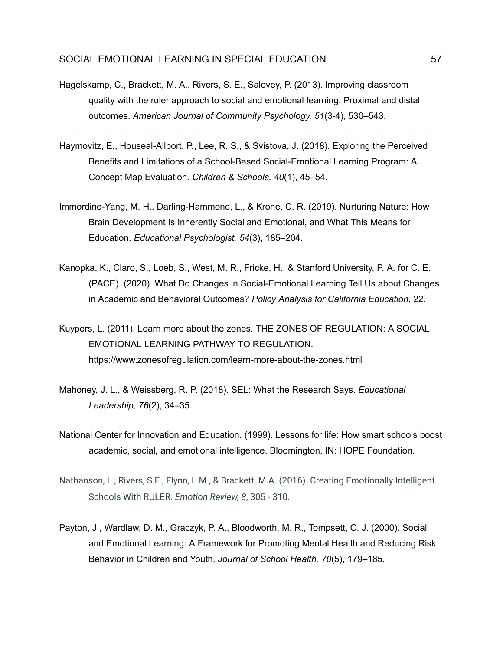- Hagelskamp, C., Brackett, M. A., Rivers, S. E., Salovey, P. (2013). Improving classroom quality with the ruler approach to social and emotional learning: Proximal and distal outcomes. *American Journal of Community Psychology, 51*(3-4), 530–543.
- Haymovitz, E., Houseal-Allport, P., Lee, R. S., & Svistova, J. (2018). Exploring the Perceived Benefits and Limitations of a School-Based Social-Emotional Learning Program: A Concept Map Evaluation. *Children & Schools, 40*(1), 45–54.
- Immordino-Yang, M. H., Darling-Hammond, L., & Krone, C. R. (2019). Nurturing Nature: How Brain Development Is Inherently Social and Emotional, and What This Means for Education. *Educational Psychologist, 54*(3), 185–204.
- Kanopka, K., Claro, S., Loeb, S., West, M. R., Fricke, H., & Stanford University, P. A. for C. E. (PACE). (2020). What Do Changes in Social-Emotional Learning Tell Us about Changes in Academic and Behavioral Outcomes? *Policy Analysis for California Education,* 22.
- Kuypers, L. (2011). Learn more about the zones. THE ZONES OF REGULATION: A SOCIAL EMOTIONAL LEARNING PATHWAY TO REGULATION. <https://www.zonesofregulation.com/learn-more-about-the-zones.html>
- Mahoney, J. L., & Weissberg, R. P. (2018). SEL: What the Research Says. *Educational Leadership, 76*(2), 34–35.
- National Center for Innovation and Education. (1999). Lessons for life: How smart schools boost academic, social, and emotional intelligence. Bloomington, IN: HOPE Foundation.
- Nathanson, L., Rivers, S.E., Flynn, L.M., & Brackett, M.A. (2016). Creating Emotionally Intelligent Schools With RULER. *Emotion Review, 8*, 305 - 310.
- Payton, J., Wardlaw, D. M., Graczyk, P. A., Bloodworth, M. R., Tompsett, C. J. (2000). Social and Emotional Learning: A Framework for Promoting Mental Health and Reducing Risk Behavior in Children and Youth. *Journal of School Health, 70*(5), 179–185.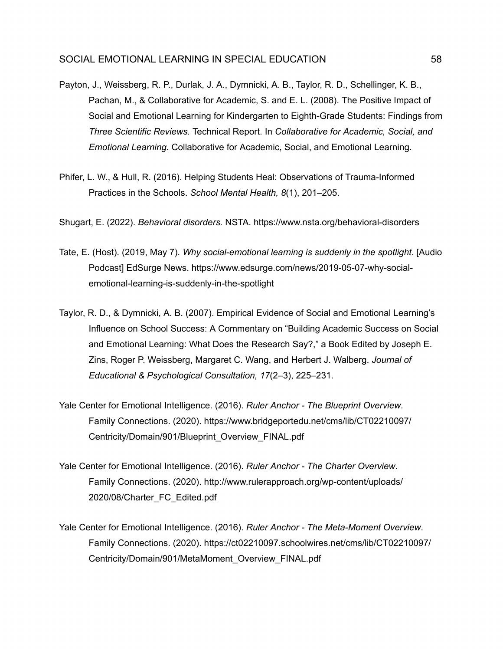- Payton, J., Weissberg, R. P., Durlak, J. A., Dymnicki, A. B., Taylor, R. D., Schellinger, K. B., Pachan, M., & Collaborative for Academic, S. and E. L. (2008). The Positive Impact of Social and Emotional Learning for Kindergarten to Eighth-Grade Students: Findings from *Three Scientific Reviews.* Technical Report. In *Collaborative for Academic, Social, and Emotional Learning.* Collaborative for Academic, Social, and Emotional Learning.
- Phifer, L. W., & Hull, R. (2016). Helping Students Heal: Observations of Trauma-Informed Practices in the Schools. *School Mental Health, 8*(1), 201–205.
- Shugart, E. (2022). *Behavioral disorders.* NSTA. <https://www.nsta.org/behavioral-disorders>
- Tate, E. (Host). (2019, May 7). *Why social-emotional learning is suddenly in the spotlight*. [Audio Podcast] EdSurge News. <https://www.edsurge.com/news/2019-05-07-why-social>emotional-learning-is-suddenly-in-the-spotlight
- Taylor, R. D., & Dymnicki, A. B. (2007). Empirical Evidence of Social and Emotional Learning's Influence on School Success: A Commentary on "Building Academic Success on Social and Emotional Learning: What Does the Research Say?," a Book Edited by Joseph E. Zins, Roger P. Weissberg, Margaret C. Wang, and Herbert J. Walberg. *Journal of Educational & Psychological Consultation, 17*(2–3), 225–231.
- Yale Center for Emotional Intelligence. (2016). *Ruler Anchor The Blueprint Overview*. Family Connections. (2020). [https://www.bridgeportedu.net/cms/lib/CT02210097/](https://www.bridgeportedu.net/cms/lib/CT02210097) Centricity/Domain/901/Blueprint\_Overview\_FINAL.pdf
- Yale Center for Emotional Intelligence. (2016). *Ruler Anchor The Charter Overview*. Family Connections. (2020). [http://www.rulerapproach.org/wp-content/uploads/](http://www.rulerapproach.org/wp-content/uploads) 2020/08/Charter\_FC\_Edited.pdf
- Yale Center for Emotional Intelligence. (2016). *Ruler Anchor The Meta-Moment Overview*. Family Connections. (2020). [https://ct02210097.schoolwires.net/cms/lib/CT02210097/](https://ct02210097.schoolwires.net/cms/lib/CT02210097) Centricity/Domain/901/MetaMoment\_Overview\_FINAL.pdf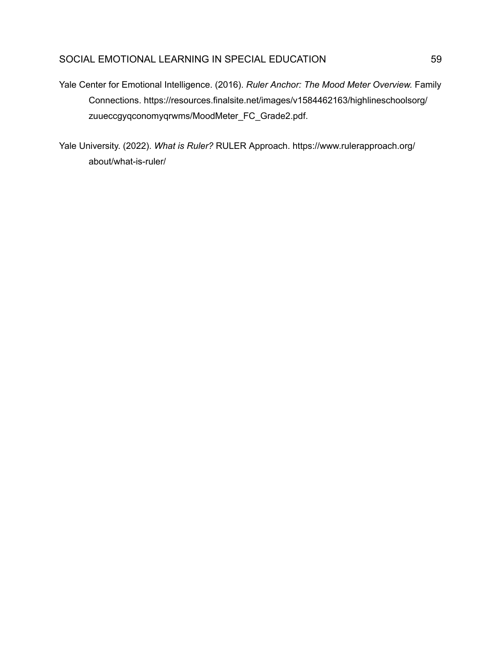Yale Center for Emotional Intelligence. (2016). *Ruler Anchor: The Mood Meter Overview.* Family Connections. [https://resources.finalsite.net/images/v1584462163/highlineschoolsorg/](https://resources.finalsite.net/images/v1584462163/highlineschoolsorg) zuueccgyqconomyqrwms/MoodMeter\_FC\_Grade2.pdf.

Yale University. (2022). *What is Ruler?* RULER Approach. <https://www.rulerapproach.org>/ about/what-is-ruler/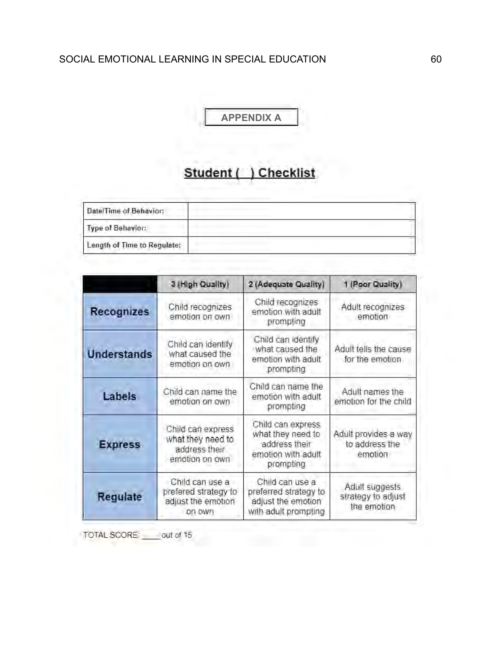**APPENDIX A**

# **Student** ( ) **Checklist**

<span id="page-60-0"></span>

| Date/Time of Behavior:      |  |
|-----------------------------|--|
| Type of Behavior:           |  |
| Length of Time to Regulate: |  |

|                    | 3 (High Quality)                                                          | 2 (Adequate Quality)                                                                       | 1 (Poor Quality)                                    |
|--------------------|---------------------------------------------------------------------------|--------------------------------------------------------------------------------------------|-----------------------------------------------------|
| <b>Recognizes</b>  | Child recognizes<br>emotion on own                                        | Child recognizes<br>emotion with adult<br>prompting                                        | Adult recognizes<br>emotion                         |
| <b>Understands</b> | Child can identify<br>what caused the<br>emotion on own                   | Child can identify<br>what caused the<br>emotion with adult<br>prompting                   | Adult tells the cause<br>for the emotion            |
| <b>Labels</b>      | Child can name the<br>emotion on own                                      | Child can name the<br>emotion with adult<br>prompting                                      | Adult names the<br>emotion for the child            |
| <b>Express</b>     | Child can express<br>what they need to<br>address their<br>emotion on own | Child can express<br>what they need to<br>address their<br>emotion with adult<br>prompting | Adult provides a way<br>to address the<br>emotion   |
| Regulate           | Child can use a<br>prefered strategy to<br>adjust the emotion<br>on own   | Child can use a<br>preferred strategy to<br>adjust the emotion<br>with adult prompting     | Adult suggests<br>strategy to adjust<br>the emotion |

TOTAL SCORE: \_\_\_\_ out of 15